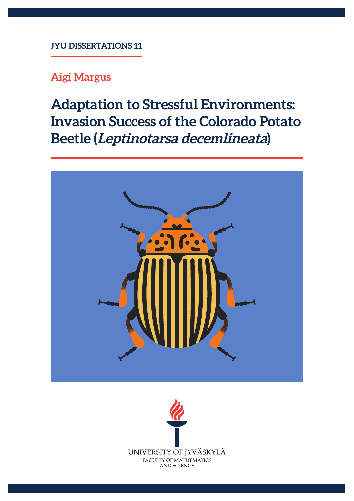## **JYU DISSERTATIONS 11**

# **Aigi Margus**

**Adaptation to Stressful Environments: Invasion Success of the Colorado Potato Beetle (Leptinotarsa decemlineata)**



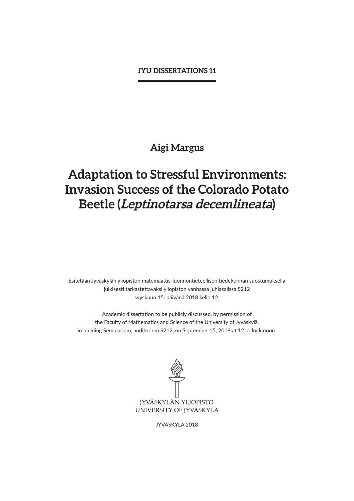#### **JYU DISSERTATIONS 11**

# **Aigi Margus**

# **Adaptation to Stressful Environments: Invasion Success of the Colorado Potato Beetle (Leptinotarsa decemlineata)**

Esitetään Jyväskylän yliopiston matemaattis-luonnontieteellisen tiedekunnan suostumuksella julkisesti tarkastettavaksi yliopiston vanhassa juhlasalissa S212 syyskuun 15. päivänä 2018 kello 12.

Academic dissertation to be publicly discussed, by permission of the Faculty of Mathematics and Science of the University of Jyväskylä, in building Seminarium, auditorium S212, on September 15, 2018 at 12 o'clock noon.



JYVÄSKYLÄ 2018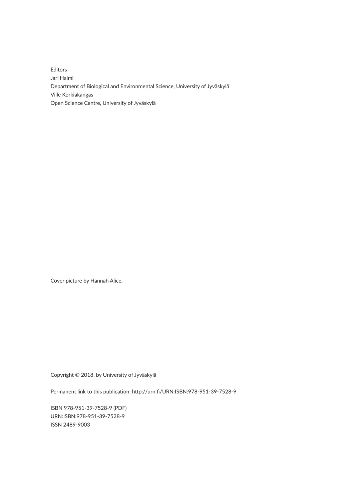Editors Jari Haimi Department of Biological and Environmental Science, University of Jyväskylä Ville Korkiakangas Open Science Centre, University of Jyväskylä

Cover picture by Hannah Alice.

Copyright © 2018, by University of Jyväskylä

Permanent link to this publication: http://urn.fi/URN:ISBN:978-951-39-7528-9

ISBN 978-951-39-7528-9 (PDF) URN:ISBN:978-951-39-7528-9 ISSN 2489-9003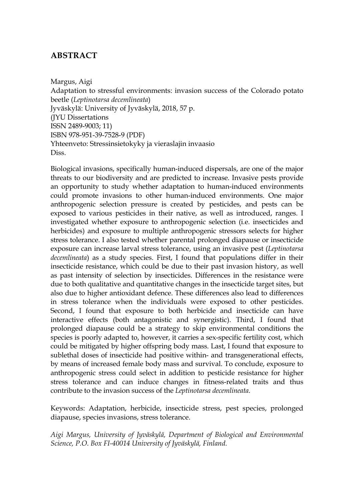# **ABSTRACT**

Margus, Aigi Adaptation to stressful environments: invasion success of the Colorado potato beetle (*Leptinotarsa decemlineata*) Jyväskylä: University of Jyväskylä, 2018, 57 p. (JYU Dissertations ISSN 2489-9003; 11) ISBN 978-951-39-7528-9 (PDF) Yhteenveto: Stressinsietokyky ja vieraslajin invaasio Diss.

Biological invasions, specifically human-induced dispersals, are one of the major threats to our biodiversity and are predicted to increase. Invasive pests provide an opportunity to study whether adaptation to human-induced environments could promote invasions to other human-induced environments. One major anthropogenic selection pressure is created by pesticides, and pests can be exposed to various pesticides in their native, as well as introduced, ranges. I investigated whether exposure to anthropogenic selection (i.e. insecticides and herbicides) and exposure to multiple anthropogenic stressors selects for higher stress tolerance. I also tested whether parental prolonged diapause or insecticide exposure can increase larval stress tolerance, using an invasive pest (*Leptinotarsa decemlineata*) as a study species. First, I found that populations differ in their insecticide resistance, which could be due to their past invasion history, as well as past intensity of selection by insecticides. Differences in the resistance were due to both qualitative and quantitative changes in the insecticide target sites, but also due to higher antioxidant defence. These differences also lead to differences in stress tolerance when the individuals were exposed to other pesticides. Second, I found that exposure to both herbicide and insecticide can have interactive effects (both antagonistic and synergistic). Third, I found that prolonged diapause could be a strategy to skip environmental conditions the species is poorly adapted to, however, it carries a sex-specific fertility cost, which could be mitigated by higher offspring body mass. Last, I found that exposure to sublethal doses of insecticide had positive within- and transgenerational effects, by means of increased female body mass and survival. To conclude, exposure to anthropogenic stress could select in addition to pesticide resistance for higher stress tolerance and can induce changes in fitness-related traits and thus contribute to the invasion success of the *Leptinotarsa decemlineata*.

Keywords: Adaptation, herbicide, insecticide stress, pest species, prolonged diapause, species invasions, stress tolerance.

*Aigi Margus, University of Jyväskylä, Department of Biological and Environmental Science, P.O. Box FI-40014 University of Jyväskylä, Finland.*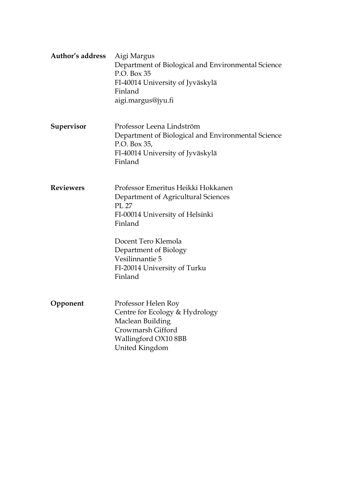| <b>Author's address</b> | Aigi Margus<br>Department of Biological and Environmental Science<br>P.O. Box 35<br>FI-40014 University of Jyväskylä<br>Finland<br>aigi.margus@jyu.fi                                                                                          |  |  |  |
|-------------------------|------------------------------------------------------------------------------------------------------------------------------------------------------------------------------------------------------------------------------------------------|--|--|--|
| Supervisor              | Professor Leena Lindström<br>Department of Biological and Environmental Science<br>P.O. Box 35,<br>FI-40014 University of Jyväskylä<br>Finland                                                                                                 |  |  |  |
| <b>Reviewers</b>        | Professor Emeritus Heikki Hokkanen<br>Department of Agricultural Sciences<br>PL 27<br>FI-00014 University of Helsinki<br>Finland<br>Docent Tero Klemola<br>Department of Biology<br>Vesilinnantie 5<br>FI-20014 University of Turku<br>Finland |  |  |  |
| Opponent                | Professor Helen Roy<br>Centre for Ecology & Hydrology<br>Maclean Building<br>Crowmarsh Gifford<br>Wallingford OX10 8BB<br>United Kingdom                                                                                                       |  |  |  |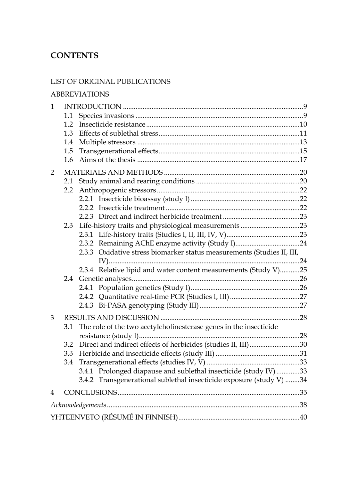# **CONTENTS**

### LIST OF ORIGINAL PUBLICATIONS

### ABBREVIATIONS

| 1.1              |                                                                     |                                                                                                                                                                                                                                                                               |
|------------------|---------------------------------------------------------------------|-------------------------------------------------------------------------------------------------------------------------------------------------------------------------------------------------------------------------------------------------------------------------------|
|                  |                                                                     |                                                                                                                                                                                                                                                                               |
|                  |                                                                     |                                                                                                                                                                                                                                                                               |
|                  |                                                                     |                                                                                                                                                                                                                                                                               |
|                  |                                                                     |                                                                                                                                                                                                                                                                               |
|                  |                                                                     |                                                                                                                                                                                                                                                                               |
|                  |                                                                     |                                                                                                                                                                                                                                                                               |
| 2.1              |                                                                     |                                                                                                                                                                                                                                                                               |
| $2.2\phantom{0}$ |                                                                     |                                                                                                                                                                                                                                                                               |
|                  |                                                                     |                                                                                                                                                                                                                                                                               |
|                  |                                                                     |                                                                                                                                                                                                                                                                               |
|                  |                                                                     |                                                                                                                                                                                                                                                                               |
|                  |                                                                     |                                                                                                                                                                                                                                                                               |
|                  |                                                                     |                                                                                                                                                                                                                                                                               |
|                  |                                                                     |                                                                                                                                                                                                                                                                               |
|                  |                                                                     |                                                                                                                                                                                                                                                                               |
|                  |                                                                     |                                                                                                                                                                                                                                                                               |
|                  |                                                                     |                                                                                                                                                                                                                                                                               |
|                  |                                                                     |                                                                                                                                                                                                                                                                               |
|                  |                                                                     |                                                                                                                                                                                                                                                                               |
|                  |                                                                     |                                                                                                                                                                                                                                                                               |
|                  |                                                                     |                                                                                                                                                                                                                                                                               |
|                  |                                                                     |                                                                                                                                                                                                                                                                               |
| 3.1              | The role of the two acetylcholinesterase genes in the insecticide   |                                                                                                                                                                                                                                                                               |
|                  |                                                                     |                                                                                                                                                                                                                                                                               |
| 3.2              |                                                                     |                                                                                                                                                                                                                                                                               |
| 3.3              |                                                                     |                                                                                                                                                                                                                                                                               |
| 3.4              |                                                                     |                                                                                                                                                                                                                                                                               |
|                  |                                                                     |                                                                                                                                                                                                                                                                               |
|                  |                                                                     |                                                                                                                                                                                                                                                                               |
|                  | 3.4.2 Transgenerational sublethal insecticide exposure (study V) 34 |                                                                                                                                                                                                                                                                               |
|                  |                                                                     |                                                                                                                                                                                                                                                                               |
|                  |                                                                     |                                                                                                                                                                                                                                                                               |
|                  | $1.2^{\circ}$<br>1.3<br>1.4<br>1.5<br>1.6<br>2.3                    | 2.3.3 Oxidative stress biomarker status measurements (Studies II, III,<br>2.3.4 Relative lipid and water content measurements (Study V)25<br>Direct and indirect effects of herbicides (studies II, III)30<br>3.4.1 Prolonged diapause and sublethal insecticide (study IV)33 |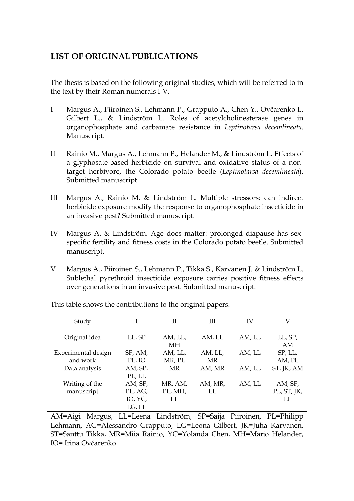# **LIST OF ORIGINAL PUBLICATIONS**

The thesis is based on the following original studies, which will be referred to in the text by their Roman numerals I-V.

- I Margus A., Piiroinen S., Lehmann P., Grapputo A., Chen Y., Ovčarenko I., Gilbert L., & Lindström L. Roles of acetylcholinesterase genes in organophosphate and carbamate resistance in *Leptinotarsa decemlineata*. Manuscript.
- II Rainio M., Margus A., Lehmann P., Helander M., & Lindström L. Effects of a glyphosate-based herbicide on survival and oxidative status of a nontarget herbivore, the Colorado potato beetle (*Leptinotarsa decemlineata*). Submitted manuscript.
- III Margus A., Rainio M. & Lindström L. Multiple stressors: can indirect herbicide exposure modify the response to organophosphate insecticide in an invasive pest? Submitted manuscript.
- IV Margus A. & Lindström. Age does matter: prolonged diapause has sexspecific fertility and fitness costs in the Colorado potato beetle. Submitted manuscript.
- V Margus A., Piiroinen S., Lehmann P., Tikka S., Karvanen J. & Lindström L. Sublethal pyrethroid insecticide exposure carries positive fitness effects over generations in an invasive pest. Submitted manuscript.

| Study               | T       | $_{\rm II}$ | Ш         | IV     | V           |
|---------------------|---------|-------------|-----------|--------|-------------|
| Original idea       | LL, SP  | AM, LL,     | AM, LL    | AM, LL | LL, SP,     |
|                     |         | МH          |           |        | AM          |
| Experimental design | SP, AM, | AM, LL,     | AM, LL,   | AM, LL | SP, LL,     |
| and work            | PL, IO  | MR, PL      | <b>MR</b> |        | AM, PL      |
| Data analysis       | AM, SP, | MR          | AM, MR    | AM, LL | ST, JK, AM  |
|                     | PL, LL  |             |           |        |             |
| Writing of the      | AM, SP, | MR, AM,     | AM, MR,   | AM, LL | AM, SP,     |
| manuscript          | PL, AG, | PL, MH,     | LL        |        | PL, ST, JK, |
|                     | IO, YC, | LL.         |           |        | LL.         |
|                     | LG, LL  |             |           |        |             |

This table shows the contributions to the original papers.

AM=Aigi Margus, LL=Leena Lindström, SP=Saija Piiroinen, PL=Philipp Lehmann, AG=Alessandro Grapputo, LG=Leona Gilbert, JK=Juha Karvanen, ST=Santtu Tikka, MR=Miia Rainio, YC=Yolanda Chen, MH=Marjo Helander, IO= Irina Ovčarenko.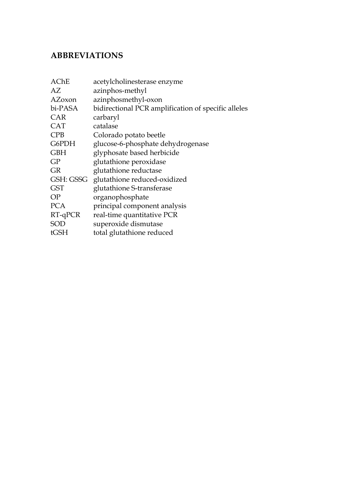# **ABBREVIATIONS**

| acetylcholinesterase enzyme                         |
|-----------------------------------------------------|
| azinphos-methyl                                     |
| azinphosmethyl-oxon                                 |
| bidirectional PCR amplification of specific alleles |
| carbaryl                                            |
| catalase                                            |
| Colorado potato beetle                              |
| glucose-6-phosphate dehydrogenase                   |
| glyphosate based herbicide                          |
| glutathione peroxidase                              |
| glutathione reductase                               |
| glutathione reduced-oxidized                        |
| glutathione S-transferase                           |
| organophosphate                                     |
| principal component analysis                        |
| real-time quantitative PCR                          |
| superoxide dismutase                                |
| total glutathione reduced                           |
|                                                     |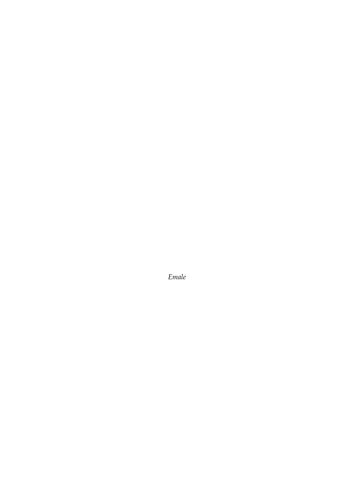*Emale*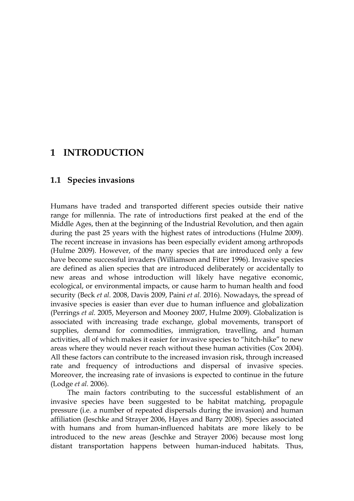# **1 INTRODUCTION**

# **1.1 Species invasions**

Humans have traded and transported different species outside their native range for millennia. The rate of introductions first peaked at the end of the Middle Ages, then at the beginning of the Industrial Revolution, and then again during the past 25 years with the highest rates of introductions (Hulme 2009). The recent increase in invasions has been especially evident among arthropods (Hulme 2009). However, of the many species that are introduced only a few have become successful invaders (Williamson and Fitter 1996). Invasive species are defined as alien species that are introduced deliberately or accidentally to new areas and whose introduction will likely have negative economic, ecological, or environmental impacts, or cause harm to human health and food security (Beck *et al.* 2008, Davis 2009, Paini *et al.* 2016). Nowadays, the spread of invasive species is easier than ever due to human influence and globalization (Perrings *et al.* 2005, Meyerson and Mooney 2007, Hulme 2009). Globalization is associated with increasing trade exchange, global movements, transport of supplies, demand for commodities, immigration, travelling, and human activities, all of which makes it easier for invasive species to "hitch-hike" to new areas where they would never reach without these human activities (Cox 2004). All these factors can contribute to the increased invasion risk, through increased rate and frequency of introductions and dispersal of invasive species. Moreover, the increasing rate of invasions is expected to continue in the future (Lodge *et al.* 2006).

The main factors contributing to the successful establishment of an invasive species have been suggested to be habitat matching, propagule pressure (i.e. a number of repeated dispersals during the invasion) and human affiliation (Jeschke and Strayer 2006, Hayes and Barry 2008). Species associated with humans and from human-influenced habitats are more likely to be introduced to the new areas (Jeschke and Strayer 2006) because most long distant transportation happens between human-induced habitats. Thus,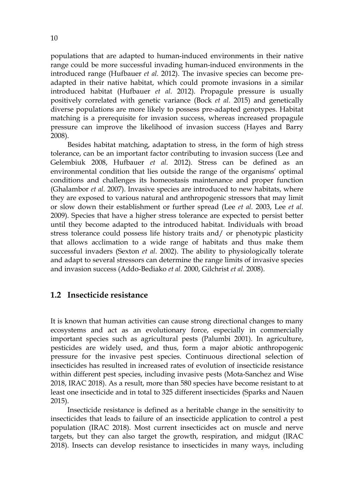populations that are adapted to human-induced environments in their native range could be more successful invading human-induced environments in the introduced range (Hufbauer *et al.* 2012). The invasive species can become preadapted in their native habitat, which could promote invasions in a similar introduced habitat (Hufbauer *et al.* 2012). Propagule pressure is usually positively correlated with genetic variance (Bock *et al.* 2015) and genetically diverse populations are more likely to possess pre-adapted genotypes. Habitat matching is a prerequisite for invasion success, whereas increased propagule pressure can improve the likelihood of invasion success (Hayes and Barry 2008).

Besides habitat matching, adaptation to stress, in the form of high stress tolerance, can be an important factor contributing to invasion success (Lee and Gelembiuk 2008, Hufbauer *et al.* 2012). Stress can be defined as an environmental condition that lies outside the range of the organisms' optimal conditions and challenges its homeostasis maintenance and proper function (Ghalambor *et al.* 2007). Invasive species are introduced to new habitats, where they are exposed to various natural and anthropogenic stressors that may limit or slow down their establishment or further spread (Lee *et al.* 2003, Lee *et al.* 2009). Species that have a higher stress tolerance are expected to persist better until they become adapted to the introduced habitat. Individuals with broad stress tolerance could possess life history traits and/ or phenotypic plasticity that allows acclimation to a wide range of habitats and thus make them successful invaders (Sexton *et al.* 2002). The ability to physiologically tolerate and adapt to several stressors can determine the range limits of invasive species and invasion success (Addo-Bediako *et al.* 2000, Gilchrist *et al.* 2008).

### **1.2 Insecticide resistance**

It is known that human activities can cause strong directional changes to many ecosystems and act as an evolutionary force, especially in commercially important species such as agricultural pests (Palumbi 2001). In agriculture, pesticides are widely used, and thus, form a major abiotic anthropogenic pressure for the invasive pest species. Continuous directional selection of insecticides has resulted in increased rates of evolution of insecticide resistance within different pest species, including invasive pests (Mota-Sanchez and Wise 2018, IRAC 2018). As a result, more than 580 species have become resistant to at least one insecticide and in total to 325 different insecticides (Sparks and Nauen 2015).

Insecticide resistance is defined as a heritable change in the sensitivity to insecticides that leads to failure of an insecticide application to control a pest population (IRAC 2018). Most current insecticides act on muscle and nerve targets, but they can also target the growth, respiration, and midgut (IRAC 2018). Insects can develop resistance to insecticides in many ways, including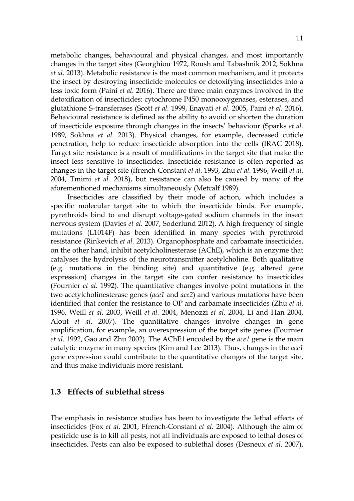metabolic changes, behavioural and physical changes, and most importantly changes in the target sites (Georghiou 1972, Roush and Tabashnik 2012, Sokhna *et al.* 2013). Metabolic resistance is the most common mechanism, and it protects the insect by destroying insecticide molecules or detoxifying insecticides into a less toxic form (Paini *et al.* 2016). There are three main enzymes involved in the detoxification of insecticides: cytochrome P450 monooxygenases, esterases, and glutathione S-transferases (Scott *et al.* 1999, Enayati *et al.* 2005, Paini *et al.* 2016). Behavioural resistance is defined as the ability to avoid or shorten the duration of insecticide exposure through changes in the insects' behaviour (Sparks *et al.* 1989, Sokhna *et al.* 2013). Physical changes, for example, decreased cuticle penetration, help to reduce insecticide absorption into the cells (IRAC 2018). Target site resistance is a result of modifications in the target site that make the insect less sensitive to insecticides. Insecticide resistance is often reported as changes in the target site (ffrench-Constant *et al.* 1993, Zhu *et al.* 1996, Weill *et al.* 2004, Tmimi *et al.* 2018), but resistance can also be caused by many of the aforementioned mechanisms simultaneously (Metcalf 1989).

Insecticides are classified by their mode of action, which includes a specific molecular target site to which the insecticide binds. For example, pyrethroids bind to and disrupt voltage-gated sodium channels in the insect nervous system (Davies *et al.* 2007, Soderlund 2012). A high frequency of single mutations (L1014F) has been identified in many species with pyrethroid resistance (Rinkevich *et al.* 2013). Organophosphate and carbamate insecticides, on the other hand, inhibit acetylcholinesterase (AChE), which is an enzyme that catalyses the hydrolysis of the neurotransmitter acetylcholine. Both qualitative (e.g. mutations in the binding site) and quantitative (e.g. altered gene expression) changes in the target site can confer resistance to insecticides (Fournier *et al.* 1992). The quantitative changes involve point mutations in the two acetylcholinesterase genes (*ace1* and *ace2*) and various mutations have been identified that confer the resistance to OP and carbamate insecticides (Zhu *et al.* 1996, Weill *et al.* 2003, Weill *et al.* 2004, Menozzi *et al.* 2004, Li and Han 2004, Alout *et al.* 2007). The quantitative changes involve changes in gene amplification, for example, an overexpression of the target site genes (Fournier *et al.* 1992, Gao and Zhu 2002). The AChE1 encoded by the *ace1* gene is the main catalytic enzyme in many species (Kim and Lee 2013). Thus, changes in the *ace1* gene expression could contribute to the quantitative changes of the target site, and thus make individuals more resistant.

### **1.3 Effects of sublethal stress**

The emphasis in resistance studies has been to investigate the lethal effects of insecticides (Fox *et al.* 2001, Ffrench-Constant *et al.* 2004). Although the aim of pesticide use is to kill all pests, not all individuals are exposed to lethal doses of insecticides. Pests can also be exposed to sublethal doses (Desneux *et al.* 2007),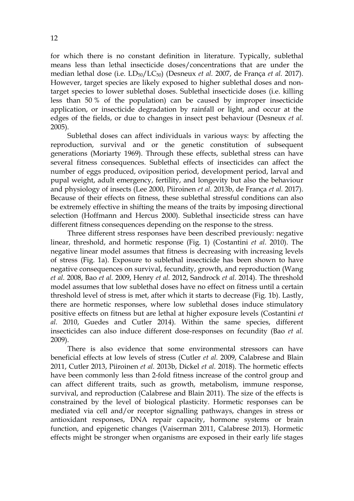for which there is no constant definition in literature. Typically, sublethal means less than lethal insecticide doses/concentrations that are under the median lethal dose (i.e. LD50/LC50) (Desneux *et al.* 2007, de França *et al.* 2017). However, target species are likely exposed to higher sublethal doses and nontarget species to lower sublethal doses. Sublethal insecticide doses (i.e. killing less than 50 % of the population) can be caused by improper insecticide application, or insecticide degradation by rainfall or light, and occur at the edges of the fields, or due to changes in insect pest behaviour (Desneux *et al.* 2005).

Sublethal doses can affect individuals in various ways: by affecting the reproduction, survival and or the genetic constitution of subsequent generations (Moriarty 1969). Through these effects, sublethal stress can have several fitness consequences. Sublethal effects of insecticides can affect the number of eggs produced, oviposition period, development period, larval and pupal weight, adult emergency, fertility, and longevity but also the behaviour and physiology of insects (Lee 2000, Piiroinen *et al.* 2013b, de França *et al.* 2017). Because of their effects on fitness, these sublethal stressful conditions can also be extremely effective in shifting the means of the traits by imposing directional selection (Hoffmann and Hercus 2000). Sublethal insecticide stress can have different fitness consequences depending on the response to the stress.

Three different stress responses have been described previously: negative linear, threshold, and hormetic response (Fig. 1) (Costantini *et al.* 2010). The negative linear model assumes that fitness is decreasing with increasing levels of stress (Fig. 1a). Exposure to sublethal insecticide has been shown to have negative consequences on survival, fecundity, growth, and reproduction (Wang *et al.* 2008, Bao *et al.* 2009, Henry *et al.* 2012, Sandrock *et al.* 2014). The threshold model assumes that low sublethal doses have no effect on fitness until a certain threshold level of stress is met, after which it starts to decrease (Fig. 1b). Lastly, there are hormetic responses, where low sublethal doses induce stimulatory positive effects on fitness but are lethal at higher exposure levels (Costantini *et al.* 2010, Guedes and Cutler 2014). Within the same species, different insecticides can also induce different dose-responses on fecundity (Bao *et al.* 2009).

There is also evidence that some environmental stressors can have beneficial effects at low levels of stress (Cutler *et al.* 2009, Calabrese and Blain 2011, Cutler 2013, Piiroinen *et al.* 2013b, Dickel *et al.* 2018). The hormetic effects have been commonly less than 2-fold fitness increase of the control group and can affect different traits, such as growth, metabolism, immune response, survival, and reproduction (Calabrese and Blain 2011). The size of the effects is constrained by the level of biological plasticity. Hormetic responses can be mediated via cell and/or receptor signalling pathways, changes in stress or antioxidant responses, DNA repair capacity, hormone systems or brain function, and epigenetic changes (Vaiserman 2011, Calabrese 2013). Hormetic effects might be stronger when organisms are exposed in their early life stages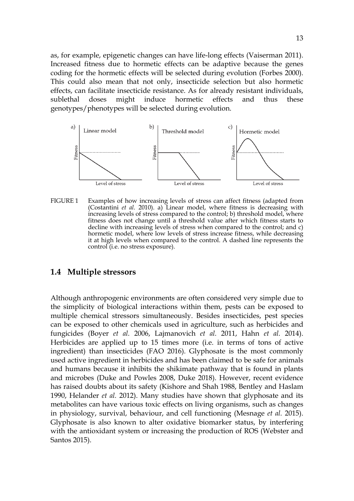as, for example, epigenetic changes can have life-long effects (Vaiserman 2011). Increased fitness due to hormetic effects can be adaptive because the genes coding for the hormetic effects will be selected during evolution (Forbes 2000). This could also mean that not only, insecticide selection but also hormetic effects, can facilitate insecticide resistance. As for already resistant individuals, sublethal doses might induce hormetic effects and thus these genotypes/phenotypes will be selected during evolution.



FIGURE 1 Examples of how increasing levels of stress can affect fitness (adapted from (Costantini *et al.* 2010). a) Linear model, where fitness is decreasing with increasing levels of stress compared to the control; b) threshold model, where fitness does not change until a threshold value after which fitness starts to decline with increasing levels of stress when compared to the control; and c) hormetic model, where low levels of stress increase fitness, while decreasing it at high levels when compared to the control. A dashed line represents the control (i.e. no stress exposure).

### **1.4 Multiple stressors**

Although anthropogenic environments are often considered very simple due to the simplicity of biological interactions within them, pests can be exposed to multiple chemical stressors simultaneously. Besides insecticides, pest species can be exposed to other chemicals used in agriculture, such as herbicides and fungicides (Boyer *et al.* 2006, Lajmanovich *et al.* 2011, Hahn *et al.* 2014). Herbicides are applied up to 15 times more (i.e. in terms of tons of active ingredient) than insecticides (FAO 2016). Glyphosate is the most commonly used active ingredient in herbicides and has been claimed to be safe for animals and humans because it inhibits the shikimate pathway that is found in plants and microbes (Duke and Powles 2008, Duke 2018). However, recent evidence has raised doubts about its safety (Kishore and Shah 1988, Bentley and Haslam 1990, Helander *et al.* 2012). Many studies have shown that glyphosate and its metabolites can have various toxic effects on living organisms, such as changes in physiology, survival, behaviour, and cell functioning (Mesnage *et al.* 2015). Glyphosate is also known to alter oxidative biomarker status, by interfering with the antioxidant system or increasing the production of ROS (Webster and Santos 2015).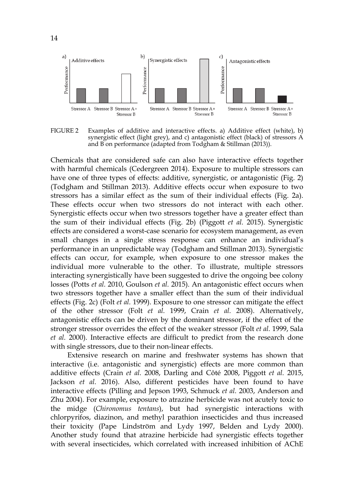

FIGURE 2 Examples of additive and interactive effects. a) Additive effect (white), b) synergistic effect (light grey), and c) antagonistic effect (black) of stressors A and B on performance (adapted from Todgham & Stillman (2013)).

Chemicals that are considered safe can also have interactive effects together with harmful chemicals (Cedergreen 2014). Exposure to multiple stressors can have one of three types of effects: additive, synergistic, or antagonistic (Fig. 2) (Todgham and Stillman 2013). Additive effects occur when exposure to two stressors has a similar effect as the sum of their individual effects (Fig. 2a). These effects occur when two stressors do not interact with each other. Synergistic effects occur when two stressors together have a greater effect than the sum of their individual effects (Fig. 2b) (Piggott *et al.* 2015). Synergistic effects are considered a worst-case scenario for ecosystem management, as even small changes in a single stress response can enhance an individual's performance in an unpredictable way (Todgham and Stillman 2013). Synergistic effects can occur, for example, when exposure to one stressor makes the individual more vulnerable to the other. To illustrate, multiple stressors interacting synergistically have been suggested to drive the ongoing bee colony losses (Potts *et al.* 2010, Goulson *et al.* 2015). An antagonistic effect occurs when two stressors together have a smaller effect than the sum of their individual effects (Fig. 2c) (Folt *et al.* 1999). Exposure to one stressor can mitigate the effect of the other stressor (Folt *et al.* 1999, Crain *et al.* 2008). Alternatively, antagonistic effects can be driven by the dominant stressor, if the effect of the stronger stressor overrides the effect of the weaker stressor (Folt *et al.* 1999, Sala *et al.* 2000). Interactive effects are difficult to predict from the research done with single stressors, due to their non-linear effects.

Extensive research on marine and freshwater systems has shown that interactive (i.e. antagonistic and synergistic) effects are more common than additive effects (Crain *et al.* 2008, Darling and Côté 2008, Piggott *et al.* 2015, Jackson *et al.* 2016). Also, different pesticides have been found to have interactive effects (Pilling and Jepson 1993, Schmuck *et al.* 2003, Anderson and Zhu 2004). For example, exposure to atrazine herbicide was not acutely toxic to the midge (*Chironomus tentans*), but had synergistic interactions with chlorpyrifos, diazinon, and methyl parathion insecticides and thus increased their toxicity (Pape Lindström and Lydy 1997, Belden and Lydy 2000). Another study found that atrazine herbicide had synergistic effects together with several insecticides, which correlated with increased inhibition of AChE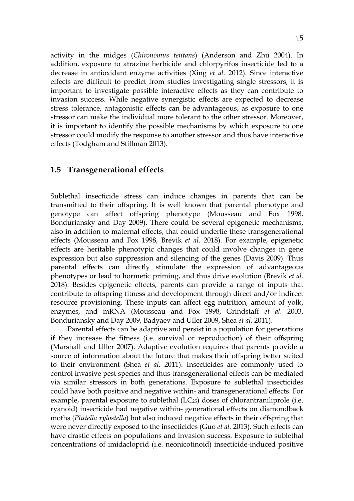activity in the midges (*Chironomus tentans*) (Anderson and Zhu 2004). In addition, exposure to atrazine herbicide and chlorpyrifos insecticide led to a decrease in antioxidant enzyme activities (Xing *et al.* 2012). Since interactive effects are difficult to predict from studies investigating single stressors, it is important to investigate possible interactive effects as they can contribute to invasion success. While negative synergistic effects are expected to decrease stress tolerance, antagonistic effects can be advantageous, as exposure to one stressor can make the individual more tolerant to the other stressor. Moreover, it is important to identify the possible mechanisms by which exposure to one stressor could modify the response to another stressor and thus have interactive effects (Todgham and Stillman 2013).

### **1.5 Transgenerational effects**

Sublethal insecticide stress can induce changes in parents that can be transmitted to their offspring. It is well known that parental phenotype and genotype can affect offspring phenotype (Mousseau and Fox 1998, Bonduriansky and Day 2009). There could be several epigenetic mechanisms, also in addition to maternal effects, that could underlie these transgenerational effects (Mousseau and Fox 1998, Brevik *et al.* 2018). For example, epigenetic effects are heritable phenotypic changes that could involve changes in gene expression but also suppression and silencing of the genes (Davis 2009). Thus parental effects can directly stimulate the expression of advantageous phenotypes or lead to hormetic priming, and thus drive evolution (Brevik *et al.* 2018). Besides epigenetic effects, parents can provide a range of inputs that contribute to offspring fitness and development through direct and/or indirect resource provisioning. These inputs can affect egg nutrition, amount of yolk, enzymes, and mRNA (Mousseau and Fox 1998, Grindstaff *et al.* 2003, Bonduriansky and Day 2009, Badyaev and Uller 2009, Shea *et al.* 2011).

Parental effects can be adaptive and persist in a population for generations if they increase the fitness (i.e. survival or reproduction) of their offspring (Marshall and Uller 2007). Adaptive evolution requires that parents provide a source of information about the future that makes their offspring better suited to their environment (Shea *et al.* 2011). Insecticides are commonly used to control invasive pest species and thus transgenerational effects can be mediated via similar stressors in both generations. Exposure to sublethal insecticides could have both positive and negative within- and transgenerational effects. For example, parental exposure to sublethal  $(LC_{25})$  doses of chlorantraniliprole (i.e. ryanoid) insecticide had negative within- generational effects on diamondback moths (*Plutella xylostella*) but also induced negative effects in their offspring that were never directly exposed to the insecticides (Guo *et al.* 2013). Such effects can have drastic effects on populations and invasion success. Exposure to sublethal concentrations of imidacloprid (i.e. neonicotinoid) insecticide-induced positive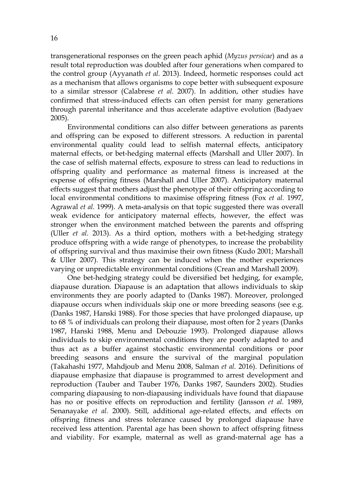transgenerational responses on the green peach aphid (*Myzus persicae*) and as a result total reproduction was doubled after four generations when compared to the control group (Ayyanath *et al.* 2013). Indeed, hormetic responses could act as a mechanism that allows organisms to cope better with subsequent exposure to a similar stressor (Calabrese *et al.* 2007). In addition, other studies have confirmed that stress-induced effects can often persist for many generations through parental inheritance and thus accelerate adaptive evolution (Badyaev 2005).

Environmental conditions can also differ between generations as parents and offspring can be exposed to different stressors. A reduction in parental environmental quality could lead to selfish maternal effects, anticipatory maternal effects, or bet-hedging maternal effects (Marshall and Uller 2007). In the case of selfish maternal effects, exposure to stress can lead to reductions in offspring quality and performance as maternal fitness is increased at the expense of offspring fitness (Marshall and Uller 2007). Anticipatory maternal effects suggest that mothers adjust the phenotype of their offspring according to local environmental conditions to maximise offspring fitness (Fox *et al.* 1997, Agrawal *et al.* 1999). A meta-analysis on that topic suggested there was overall weak evidence for anticipatory maternal effects, however, the effect was stronger when the environment matched between the parents and offspring (Uller *et al.* 2013). As a third option, mothers with a bet-hedging strategy produce offspring with a wide range of phenotypes, to increase the probability of offspring survival and thus maximise their own fitness (Kudo 2001; Marshall & Uller 2007). This strategy can be induced when the mother experiences varying or unpredictable environmental conditions (Crean and Marshall 2009).

One bet-hedging strategy could be diversified bet hedging, for example, diapause duration. Diapause is an adaptation that allows individuals to skip environments they are poorly adapted to (Danks 1987). Moreover, prolonged diapause occurs when individuals skip one or more breeding seasons (see e.g. (Danks 1987, Hanski 1988). For those species that have prolonged diapause, up to 68 % of individuals can prolong their diapause, most often for 2 years (Danks 1987, Hanski 1988, Menu and Debouzie 1993). Prolonged diapause allows individuals to skip environmental conditions they are poorly adapted to and thus act as a buffer against stochastic environmental conditions or poor breeding seasons and ensure the survival of the marginal population (Takahashi 1977, Mahdjoub and Menu 2008, Salman *et al.* 2016). Definitions of diapause emphasize that diapause is programmed to arrest development and reproduction (Tauber and Tauber 1976, Danks 1987, Saunders 2002). Studies comparing diapausing to non-diapausing individuals have found that diapause has no or positive effects on reproduction and fertility (Jansson *et al.* 1989, Senanayake *et al.* 2000). Still, additional age-related effects, and effects on offspring fitness and stress tolerance caused by prolonged diapause have received less attention. Parental age has been shown to affect offspring fitness and viability. For example, maternal as well as grand-maternal age has a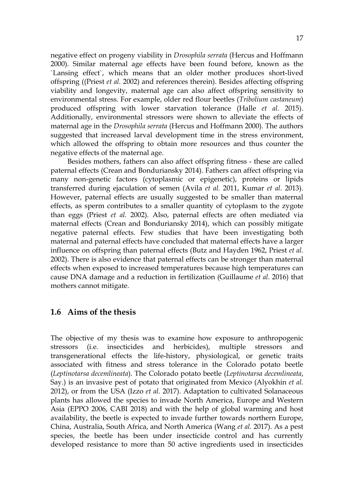negative effect on progeny viability in *Drosophila serrata* (Hercus and Hoffmann 2000). Similar maternal age effects have been found before, known as the `Lansing effect`, which means that an older mother produces short-lived offspring ((Priest *et al.* 2002) and references therein). Besides affecting offspring viability and longevity, maternal age can also affect offspring sensitivity to environmental stress. For example, older red flour beetles (*Tribolium castaneum*) produced offspring with lower starvation tolerance (Halle *et al.* 2015). Additionally, environmental stressors were shown to alleviate the effects of maternal age in the *Drosophila serrata* (Hercus and Hoffmann 2000). The authors suggested that increased larval development time in the stress environment, which allowed the offspring to obtain more resources and thus counter the negative effects of the maternal age.

Besides mothers, fathers can also affect offspring fitness - these are called paternal effects (Crean and Bonduriansky 2014). Fathers can affect offspring via many non-genetic factors (cytoplasmic or epigenetic), proteins or lipids transferred during ejaculation of semen (Avila *et al.* 2011, Kumar *et al.* 2013). However, paternal effects are usually suggested to be smaller than maternal effects, as sperm contributes to a smaller quantity of cytoplasm to the zygote than eggs (Priest *et al.* 2002). Also, paternal effects are often mediated via maternal effects (Crean and Bonduriansky 2014), which can possibly mitigate negative paternal effects. Few studies that have been investigating both maternal and paternal effects have concluded that maternal effects have a larger influence on offspring than paternal effects (Butz and Hayden 1962, Priest *et al.* 2002). There is also evidence that paternal effects can be stronger than maternal effects when exposed to increased temperatures because high temperatures can cause DNA damage and a reduction in fertilization (Guillaume *et al.* 2016) that mothers cannot mitigate.

### **1.6 Aims of the thesis**

The objective of my thesis was to examine how exposure to anthropogenic stressors (i.e. insecticides and herbicides), multiple stressors and transgenerational effects the life-history, physiological, or genetic traits associated with fitness and stress tolerance in the Colorado potato beetle (*Leptinotarsa decemlineata*). The Colorado potato beetle (*Leptinotarsa decemlineata*, Say.) is an invasive pest of potato that originated from Mexico (Alyokhin *et al.* 2012), or from the USA (Izzo *et al.* 2017). Adaptation to cultivated Solanaceous plants has allowed the species to invade North America, Europe and Western Asia (EPPO 2006, CABI 2018) and with the help of global warming and host availability, the beetle is expected to invade further towards northern Europe, China, Australia, South Africa, and North America (Wang *et al.* 2017). As a pest species, the beetle has been under insecticide control and has currently developed resistance to more than 50 active ingredients used in insecticides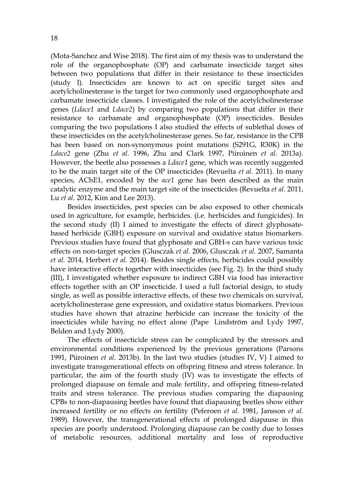(Mota-Sanchez and Wise 2018). The first aim of my thesis was to understand the role of the organophosphate (OP) and carbamate insecticide target sites between two populations that differ in their resistance to these insecticides (study I). Insecticides are known to act on specific target sites and acetylcholinesterase is the target for two commonly used organophosphate and carbamate insecticide classes. I investigated the role of the acetylcholinesterase genes (*Ldace1* and *Ldace2*) by comparing two populations that differ in their resistance to carbamate and organophosphate (OP) insecticides. Besides comparing the two populations I also studied the effects of sublethal doses of these insecticides on the acetylcholinesterase genes. So far, resistance in the CPB has been based on non-synonymous point mutations (S291G, R30K) in the *Ldace2* gene (Zhu *et al.* 1996, Zhu and Clark 1997, Piiroinen *et al.* 2013a). However, the beetle also possesses a *Ldace1* gene, which was recently suggested to be the main target site of the OP insecticides (Revuelta *et al.* 2011). In many species, AChE1, encoded by the *ace1* gene has been described as the main catalytic enzyme and the main target site of the insecticides (Revuelta *et al.* 2011, Lu *et al.* 2012, Kim and Lee 2013).

Besides insecticides, pest species can be also exposed to other chemicals used in agriculture, for example, herbicides. (i.e. herbicides and fungicides). In the second study (II) I aimed to investigate the effects of direct glyphosatebased herbicide (GBH) exposure on survival and oxidative status biomarkers. Previous studies have found that glyphosate and GBH-s can have various toxic effects on non-target species (Glusczak *et al.* 2006, Glusczak *et al.* 2007, Samanta *et al.* 2014, Herbert *et al.* 2014). Besides single effects, herbicides could possibly have interactive effects together with insecticides (see Fig. 2). In the third study (III), I investigated whether exposure to indirect GBH via food has interactive effects together with an OP insecticide. I used a full factorial design, to study single, as well as possible interactive effects, of these two chemicals on survival, acetylcholinesterase gene expression, and oxidative status biomarkers. Previous studies have shown that atrazine herbicide can increase the toxicity of the insecticides while having no effect alone (Pape Lindström and Lydy 1997, Belden and Lydy 2000).

The effects of insecticide stress can be complicated by the stressors and environmental conditions experienced by the previous generations (Parsons 1991, Piiroinen *et al.* 2013b). In the last two studies (studies IV, V) I aimed to investigate transgenerational effects on offspring fitness and stress tolerance. In particular, the aim of the fourth study (IV) was to investigate the effects of prolonged diapause on female and male fertility, and offspring fitness-related traits and stress tolerance. The previous studies comparing the diapausing CPBs to non-diapausing beetles have found that diapausing beetles show either increased fertility or no effects on fertility (Peferoen *et al.* 1981, Jansson *et al.* 1989). However, the transgenerational effects of prolonged diapause in this species are poorly understood. Prolonging diapause can be costly due to losses of metabolic resources, additional mortality and loss of reproductive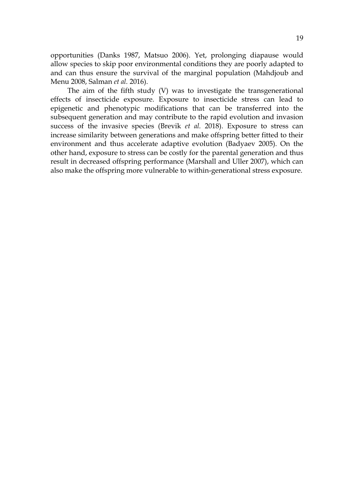opportunities (Danks 1987, Matsuo 2006). Yet, prolonging diapause would allow species to skip poor environmental conditions they are poorly adapted to and can thus ensure the survival of the marginal population (Mahdjoub and Menu 2008, Salman *et al.* 2016).

The aim of the fifth study (V) was to investigate the transgenerational effects of insecticide exposure. Exposure to insecticide stress can lead to epigenetic and phenotypic modifications that can be transferred into the subsequent generation and may contribute to the rapid evolution and invasion success of the invasive species (Brevik *et al.* 2018). Exposure to stress can increase similarity between generations and make offspring better fitted to their environment and thus accelerate adaptive evolution (Badyaev 2005). On the other hand, exposure to stress can be costly for the parental generation and thus result in decreased offspring performance (Marshall and Uller 2007), which can also make the offspring more vulnerable to within-generational stress exposure.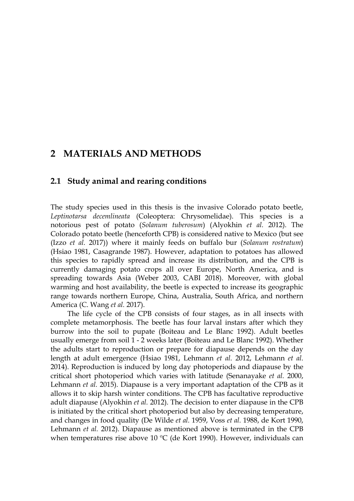## **2 MATERIALS AND METHODS**

### **2.1 Study animal and rearing conditions**

The study species used in this thesis is the invasive Colorado potato beetle, *Leptinotarsa decemlineata* (Coleoptera: Chrysomelidae). This species is a notorious pest of potato (*Solanum tuberosum*) (Alyokhin *et al.* 2012). The Colorado potato beetle (henceforth CPB) is considered native to Mexico (but see (Izzo *et al.* 2017)) where it mainly feeds on buffalo bur (*Solanum rostratum*) (Hsiao 1981, Casagrande 1987). However, adaptation to potatoes has allowed this species to rapidly spread and increase its distribution, and the CPB is currently damaging potato crops all over Europe, North America, and is spreading towards Asia (Weber 2003, CABI 2018). Moreover, with global warming and host availability, the beetle is expected to increase its geographic range towards northern Europe, China, Australia, South Africa, and northern America (C. Wang *et al.* 2017).

The life cycle of the CPB consists of four stages, as in all insects with complete metamorphosis. The beetle has four larval instars after which they burrow into the soil to pupate (Boiteau and Le Blanc 1992). Adult beetles usually emerge from soil 1 - 2 weeks later (Boiteau and Le Blanc 1992). Whether the adults start to reproduction or prepare for diapause depends on the day length at adult emergence (Hsiao 1981, Lehmann *et al.* 2012, Lehmann *et al.* 2014). Reproduction is induced by long day photoperiods and diapause by the critical short photoperiod which varies with latitude (Senanayake *et al.* 2000, Lehmann *et al.* 2015). Diapause is a very important adaptation of the CPB as it allows it to skip harsh winter conditions. The CPB has facultative reproductive adult diapause (Alyokhin *et al.* 2012). The decision to enter diapause in the CPB is initiated by the critical short photoperiod but also by decreasing temperature, and changes in food quality (De Wilde *et al.* 1959, Voss *et al.* 1988, de Kort 1990, Lehmann *et al.* 2012). Diapause as mentioned above is terminated in the CPB when temperatures rise above 10  $\rm{^{\circ}C}$  (de Kort 1990). However, individuals can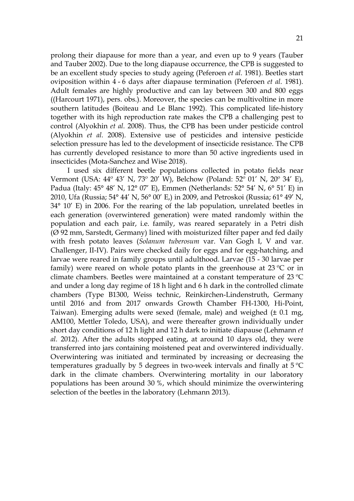prolong their diapause for more than a year, and even up to 9 years (Tauber and Tauber 2002). Due to the long diapause occurrence, the CPB is suggested to be an excellent study species to study ageing (Peferoen *et al.* 1981). Beetles start oviposition within 4 - 6 days after diapause termination (Peferoen *et al.* 1981). Adult females are highly productive and can lay between 300 and 800 eggs ((Harcourt 1971), pers. obs.). Moreover, the species can be multivoltine in more southern latitudes (Boiteau and Le Blanc 1992). This complicated life-history together with its high reproduction rate makes the CPB a challenging pest to control (Alyokhin *et al.* 2008). Thus, the CPB has been under pesticide control (Alyokhin *et al.* 2008). Extensive use of pesticides and intensive pesticide selection pressure has led to the development of insecticide resistance. The CPB has currently developed resistance to more than 50 active ingredients used in insecticides (Mota-Sanchez and Wise 2018).

I used six different beetle populations collected in potato fields near Vermont (USA: 44º 43' N, 73º 20' W), Belchow (Poland: 52º 01' N, 20º 34' E), Padua (Italy: 45° 48' N, 12° 07' E), Emmen (Netherlands: 52° 54' N, 6° 51' E) in 2010, Ufa (Russia; 54° 44' N, 56° 00' E,) in 2009, and Petroskoi (Russia; 61° 49' N, 34° 10' E) in 2006. For the rearing of the lab population, unrelated beetles in each generation (overwintered generation) were mated randomly within the population and each pair, i.e. family, was reared separately in a Petri dish (Ø 92 mm, Sarstedt, Germany) lined with moisturized filter paper and fed daily with fresh potato leaves (*Solanum tuberosum* var. Van Gogh I, V and var. Challenger, II-IV). Pairs were checked daily for eggs and for egg-hatching, and larvae were reared in family groups until adulthood. Larvae (15 - 30 larvae per family) were reared on whole potato plants in the greenhouse at  $23\text{ °C}$  or in climate chambers. Beetles were maintained at a constant temperature of 23 ºC and under a long day regime of 18 h light and 6 h dark in the controlled climate chambers (Type B1300, Weiss technic, Reinkirchen-Lindenstruth, Germany until 2016 and from 2017 onwards Growth Chamber FH-1300, Hi-Point, Taiwan). Emerging adults were sexed (female, male) and weighed  $(\pm 0.1 \text{ mg})$ AM100, Mettler Toledo, USA), and were thereafter grown individually under short day conditions of 12 h light and 12 h dark to initiate diapause (Lehmann *et al.* 2012). After the adults stopped eating, at around 10 days old, they were transferred into jars containing moistened peat and overwintered individually. Overwintering was initiated and terminated by increasing or decreasing the temperatures gradually by 5 degrees in two-week intervals and finally at  $5^{\circ}$ C dark in the climate chambers. Overwintering mortality in our laboratory populations has been around 30 %, which should minimize the overwintering selection of the beetles in the laboratory (Lehmann 2013).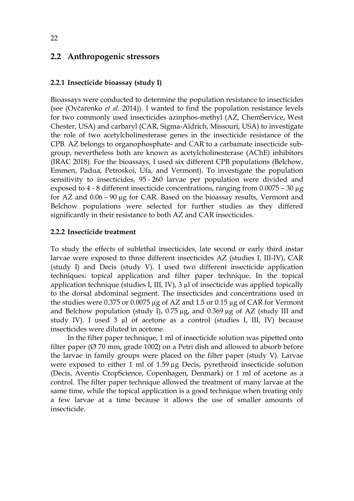### **2.2 Anthropogenic stressors**

#### **2.2.1 Insecticide bioassay (study I)**

Bioassays were conducted to determine the population resistance to insecticides (see (Ovčarenko *et al.* 2014)). I wanted to find the population resistance levels for two commonly used insecticides azinphos-methyl (AZ, ChemService, West Chester, USA) and carbaryl (CAR, Sigma-Aldrich, Missouri, USA) to investigate the role of two acetylcholinesterase genes in the insecticide resistance of the CPB. AZ belongs to organophosphate- and CAR to a carbamate insecticide subgroup, nevertheless both are known as acetylcholinesterase (AChE) inhibitors (IRAC 2018). For the bioassays, I used six different CPB populations (Belchow, Emmen, Padua, Petroskoi, Ufa, and Vermont). To investigate the population sensitivity to insecticides, 95 - 260 larvae per population were divided and exposed to 4 - 8 different insecticide concentrations, ranging from 0.0075 – 30 µg for AZ and 0.06 – 90 µg for CAR. Based on the bioassay results, Vermont and Belchow populations were selected for further studies as they differed significantly in their resistance to both AZ and CAR insecticides.

#### **2.2.2 Insecticide treatment**

To study the effects of sublethal insecticides, late second or early third instar larvae were exposed to three different insecticides AZ (studies I, III-IV), CAR (study I) and Decis (study V). I used two different insecticide application techniques: topical application and filter paper technique. In the topical application technique (studies I, III, IV), 3 µl of insecticide was applied topically to the dorsal abdominal segment. The insecticides and concentrations used in the studies were 0.375 or 0.0075 µg of AZ and 1.5 or 0.15 µg of CAR for Vermont and Belchow population (study I), 0.75 µg, and 0.369 µg of AZ (study III and study IV). I used 3 µl of acetone as a control (studies I, III, IV) because insecticides were diluted in acetone.

In the filter paper technique, 1 ml of insecticide solution was pipetted onto filter paper ( $\varnothing$  70 mm, grade 1002) on a Petri dish and allowed to absorb before the larvae in family groups were placed on the filter paper (study V). Larvae were exposed to either 1 ml of 1.59 µg Decis, pyrethroid insecticide solution (Decis, Aventis CropScience, Copenhagen, Denmark) or 1 ml of acetone as a control. The filter paper technique allowed the treatment of many larvae at the same time, while the topical application is a good technique when treating only a few larvae at a time because it allows the use of smaller amounts of insecticide.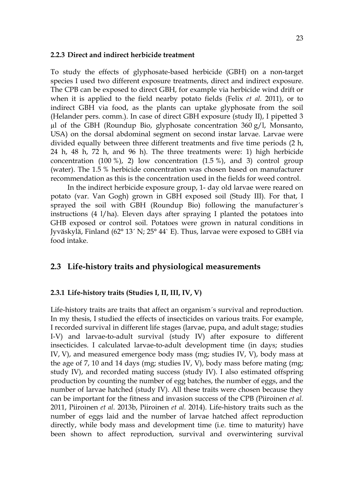#### **2.2.3 Direct and indirect herbicide treatment**

To study the effects of glyphosate-based herbicide (GBH) on a non-target species I used two different exposure treatments, direct and indirect exposure. The CPB can be exposed to direct GBH, for example via herbicide wind drift or when it is applied to the field nearby potato fields (Felix *et al.* 2011), or to indirect GBH via food, as the plants can uptake glyphosate from the soil (Helander pers. comm.). In case of direct GBH exposure (study II), I pipetted 3  $\mu$ l of the GBH (Roundup Bio, glyphosate concentration 360 g/l, Monsanto, USA) on the dorsal abdominal segment on second instar larvae. Larvae were divided equally between three different treatments and five time periods (2 h, 24 h, 48 h, 72 h, and 96 h). The three treatments were: 1) high herbicide concentration  $(100 \%)$ , 2) low concentration  $(1.5 \%)$ , and 3) control group (water). The 1.5 % herbicide concentration was chosen based on manufacturer recommendation as this is the concentration used in the fields for weed control.

In the indirect herbicide exposure group, 1- day old larvae were reared on potato (var. Van Gogh) grown in GBH exposed soil (Study III). For that, I sprayed the soil with GBH (Roundup Bio) following the manufacturer´s instructions (4 l/ha). Eleven days after spraying I planted the potatoes into GHB exposed or control soil. Potatoes were grown in natural conditions in Jyväskylä, Finland (62° 13´ N; 25° 44` E). Thus, larvae were exposed to GBH via food intake.

#### **2.3 Life-history traits and physiological measurements**

#### **2.3.1 Life-history traits (Studies I, II, III, IV, V)**

Life-history traits are traits that affect an organism´s survival and reproduction. In my thesis, I studied the effects of insecticides on various traits. For example, I recorded survival in different life stages (larvae, pupa, and adult stage; studies I-V) and larvae-to-adult survival (study IV) after exposure to different insecticides. I calculated larvae-to-adult development time (in days; studies IV, V), and measured emergence body mass (mg; studies IV, V), body mass at the age of 7, 10 and 14 days (mg; studies IV, V), body mass before mating (mg; study IV), and recorded mating success (study IV). I also estimated offspring production by counting the number of egg batches, the number of eggs, and the number of larvae hatched (study IV). All these traits were chosen because they can be important for the fitness and invasion success of the CPB (Piiroinen *et al.* 2011, Piiroinen *et al.* 2013b, Piiroinen *et al.* 2014). Life-history traits such as the number of eggs laid and the number of larvae hatched affect reproduction directly, while body mass and development time (i.e. time to maturity) have been shown to affect reproduction, survival and overwintering survival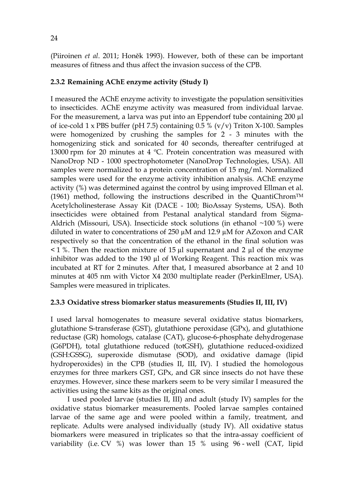(Piiroinen *et al*. 2011; Honěk 1993). However, both of these can be important measures of fitness and thus affect the invasion success of the CPB.

#### **2.3.2 Remaining AChE enzyme activity (Study I)**

I measured the AChE enzyme activity to investigate the population sensitivities to insecticides. AChE enzyme activity was measured from individual larvae. For the measurement, a larva was put into an Eppendorf tube containing 200 µl of ice-cold  $1 \times PBS$  buffer (pH 7.5) containing 0.5 % (v/v) Triton X-100. Samples were homogenized by crushing the samples for 2 - 3 minutes with the homogenizing stick and sonicated for 40 seconds, thereafter centrifuged at 13000 rpm for 20 minutes at 4  $^{\circ}$ C. Protein concentration was measured with NanoDrop ND - 1000 spectrophotometer (NanoDrop Technologies, USA). All samples were normalized to a protein concentration of 15 mg/ml. Normalized samples were used for the enzyme activity inhibition analysis. AChE enzyme activity (%) was determined against the control by using improved Ellman et al. (1961) method, following the instructions described in the QuantiChrom<sup>TM</sup> Acetylcholinesterase Assay Kit (DACE - 100; BioAssay Systems, USA). Both insecticides were obtained from Pestanal analytical standard from Sigma-Aldrich (Missouri, USA). Insecticide stock solutions (in ethanol ~100 %) were diluted in water to concentrations of  $250 \mu M$  and  $12.9 \mu M$  for AZoxon and CAR respectively so that the concentration of the ethanol in the final solution was  $\leq$  1 %. Then the reaction mixture of 15  $\mu$ l supernatant and 2  $\mu$ l of the enzyme inhibitor was added to the 190 µl of Working Reagent. This reaction mix was incubated at RT for 2 minutes. After that, I measured absorbance at 2 and 10 minutes at 405 nm with Victor X4 2030 multiplate reader (PerkinElmer, USA). Samples were measured in triplicates.

#### **2.3.3 Oxidative stress biomarker status measurements (Studies II, III, IV)**

I used larval homogenates to measure several oxidative status biomarkers, glutathione S-transferase (GST), glutathione peroxidase (GPx), and glutathione reductase (GR) homologs, catalase (CAT), glucose-6-phosphate dehydrogenase (G6PDH), total glutathione reduced (totGSH), glutathione reduced-oxidized (GSH:GSSG), superoxide dismutase (SOD), and oxidative damage (lipid hydroperoxides) in the CPB (studies II, III, IV). I studied the homologous enzymes for three markers GST, GPx, and GR since insects do not have these enzymes. However, since these markers seem to be very similar I measured the activities using the same kits as the original ones.

I used pooled larvae (studies II, III) and adult (study IV) samples for the oxidative status biomarker measurements. Pooled larvae samples contained larvae of the same age and were pooled within a family, treatment, and replicate. Adults were analysed individually (study IV). All oxidative status biomarkers were measured in triplicates so that the intra-assay coefficient of variability (i.e. CV %) was lower than 15 % using 96 - well (CAT, lipid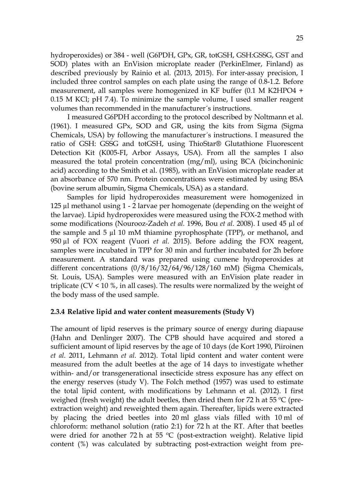hydroperoxides) or 384 - well (G6PDH, GPx, GR, totGSH, GSH:GSSG, GST and SOD) plates with an EnVision microplate reader (PerkinElmer, Finland) as described previously by Rainio et al. (2013, 2015). For inter-assay precision, I included three control samples on each plate using the range of 0.8-1.2. Before measurement, all samples were homogenized in KF buffer (0.1 M K2HPO4 + 0.15 M KCl; pH 7.4). To minimize the sample volume, I used smaller reagent volumes than recommended in the manufacturer´s instructions.

I measured G6PDH according to the protocol described by Noltmann et al. (1961). I measured GPx, SOD and GR, using the kits from Sigma (Sigma Chemicals, USA) by following the manufacturer´s instructions. I measured the ratio of GSH: GSSG and totGSH, using ThioStar® Glutathione Fluorescent Detection Kit (K005-FI, Arbor Assays, USA). From all the samples I also measured the total protein concentration (mg/ml), using BCA (bicinchoninic acid) according to the Smith et al. (1985), with an EnVision microplate reader at an absorbance of 570 nm. Protein concentrations were estimated by using BSA (bovine serum albumin, Sigma Chemicals, USA) as a standard.

Samples for lipid hydroperoxides measurement were homogenized in 125 µl methanol using 1 - 2 larvae per homogenate (depending on the weight of the larvae). Lipid hydroperoxides were measured using the FOX-2 method with some modifications (Nourooz-Zadeh *et al.* 1996, Bou *et al.* 2008). I used 45 µl of the sample and 5 µl 10 mM thiamine pyrophosphate (TPP), or methanol, and 950 µl of FOX reagent (Vuori *et al.* 2015). Before adding the FOX reagent, samples were incubated in TPP for 30 min and further incubated for 2h before measurement. A standard was prepared using cumene hydroperoxides at different concentrations (0/8/16/32/64/96/128/160 mM) (Sigma Chemicals, St. Louis, USA). Samples were measured with an EnVision plate reader in triplicate (CV < 10 %, in all cases). The results were normalized by the weight of the body mass of the used sample.

#### **2.3.4 Relative lipid and water content measurements (Study V)**

The amount of lipid reserves is the primary source of energy during diapause (Hahn and Denlinger 2007). The CPB should have acquired and stored a sufficient amount of lipid reserves by the age of 10 days (de Kort 1990, Piiroinen *et al.* 2011, Lehmann *et al.* 2012). Total lipid content and water content were measured from the adult beetles at the age of 14 days to investigate whether within- and/or transgenerational insecticide stress exposure has any effect on the energy reserves (study V). The Folch method (1957) was used to estimate the total lipid content, with modifications by Lehmann et al. (2012). I first weighed (fresh weight) the adult beetles, then dried them for 72 h at 55 °C (preextraction weight) and reweighted them again. Thereafter, lipids were extracted by placing the dried beetles into 20 ml glass vials filled with 10 ml of chloroform: methanol solution (ratio 2:1) for 72 h at the RT. After that beetles were dried for another 72 h at 55 °C (post-extraction weight). Relative lipid content (%) was calculated by subtracting post-extraction weight from pre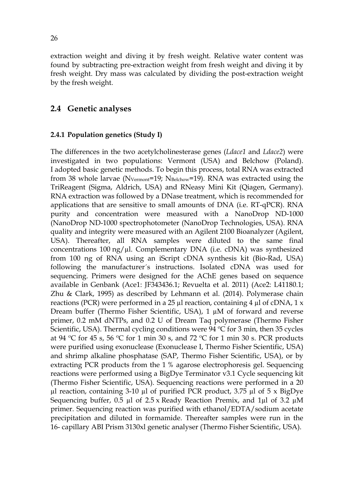extraction weight and diving it by fresh weight. Relative water content was found by subtracting pre-extraction weight from fresh weight and diving it by fresh weight. Dry mass was calculated by dividing the post-extraction weight by the fresh weight.

### **2.4 Genetic analyses**

#### **2.4.1 Population genetics (Study I)**

The differences in the two acetylcholinesterase genes (*Ldace1* and *Ldace2*) were investigated in two populations: Vermont (USA) and Belchow (Poland). I adopted basic genetic methods. To begin this process, total RNA was extracted from 38 whole larvae ( $N_{Vermont}$ =19;  $N_{Belchow}$ =19). RNA was extracted using the TriReagent (Sigma, Aldrich, USA) and RNeasy Mini Kit (Qiagen, Germany). RNA extraction was followed by a DNase treatment, which is recommended for applications that are sensitive to small amounts of DNA (i.e. RT-qPCR). RNA purity and concentration were measured with a NanoDrop ND-1000 (NanoDrop ND-1000 spectrophotometer (NanoDrop Technologies, USA). RNA quality and integrity were measured with an Agilent 2100 Bioanalyzer (Agilent, USA). Thereafter, all RNA samples were diluted to the same final concentrations  $100 \text{ ng}/\mu$ l. Complementary DNA (i.e. cDNA) was synthesized from 100 ng of RNA using an iScript cDNA synthesis kit (Bio-Rad, USA) following the manufacturer´s instructions. Isolated cDNA was used for sequencing. Primers were designed for the AChE genes based on sequence available in Genbank (Ace1: JF343436.1; Revuelta et al. 2011) (Ace2: L41180.1; Zhu & Clark, 1995) as described by Lehmann et al. (2014). Polymerase chain reactions (PCR) were performed in a 25  $\mu$ l reaction, containing 4  $\mu$ l of cDNA, 1 x Dream buffer (Thermo Fisher Scientific, USA), 1 µM of forward and reverse primer, 0.2 mM dNTPs, and 0.2 U of Dream Taq polymerase (Thermo Fisher Scientific, USA). Thermal cycling conditions were 94 °C for 3 min, then 35 cycles at 94 °C for 45 s, 56 °C for 1 min 30 s, and 72 °C for 1 min 30 s. PCR products were purified using exonuclease (Exonuclease I, Thermo Fisher Scientific, USA) and shrimp alkaline phosphatase (SAP, Thermo Fisher Scientific, USA), or by extracting PCR products from the 1 % agarose electrophoresis gel. Sequencing reactions were performed using a BigDye Terminator v3.1 Cycle sequencing kit (Thermo Fisher Scientific, USA). Sequencing reactions were performed in a 20  $\mu$ l reaction, containing 3-10  $\mu$ l of purified PCR product, 3.75  $\mu$ l of 5 x BigDye Sequencing buffer, 0.5 µl of  $2.5 \times$  Ready Reaction Premix, and 1µl of 3.2 µM primer. Sequencing reaction was purified with ethanol/EDTA/sodium acetate precipitation and diluted in formamide. Thereafter samples were run in the 16- capillary ABI Prism 3130xl genetic analyser (Thermo Fisher Scientific, USA).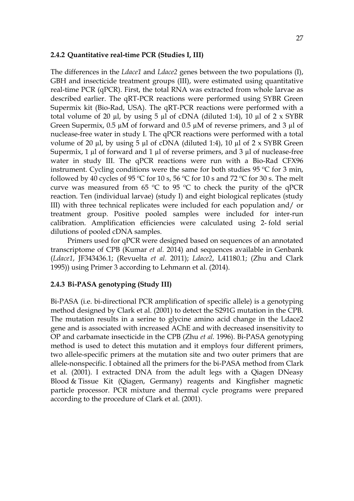#### **2.4.2 Quantitative real-time PCR (Studies I, III)**

The differences in the *Ldace1* and *Ldace2* genes between the two populations (I), GBH and insecticide treatment groups (III), were estimated using quantitative real-time PCR (qPCR). First, the total RNA was extracted from whole larvae as described earlier. The qRT-PCR reactions were performed using SYBR Green Supermix kit (Bio-Rad, USA). The qRT-PCR reactions were performed with a total volume of 20  $\mu$ l, by using 5  $\mu$ l of cDNA (diluted 1:4), 10  $\mu$ l of 2 x SYBR Green Supermix,  $0.5 \mu M$  of forward and  $0.5 \mu M$  of reverse primers, and  $3 \mu I$  of nuclease-free water in study I. The qPCR reactions were performed with a total volume of 20  $\mu$ l, by using 5  $\mu$ l of cDNA (diluted 1:4), 10  $\mu$ l of 2 x SYBR Green Supermix,  $1 \mu$ l of forward and  $1 \mu$ l of reverse primers, and  $3 \mu$ l of nuclease-free water in study III. The qPCR reactions were run with a Bio-Rad CFX96 instrument. Cycling conditions were the same for both studies 95 ºC for 3 min, followed by 40 cycles of 95 °C for 10 s, 56 °C for 10 s and 72 °C for 30 s. The melt curve was measured from 65  $\degree$ C to 95  $\degree$ C to check the purity of the qPCR reaction. Ten (individual larvae) (study I) and eight biological replicates (study III) with three technical replicates were included for each population and/ or treatment group. Positive pooled samples were included for inter-run calibration. Amplification efficiencies were calculated using 2- fold serial dilutions of pooled cDNA samples.

Primers used for qPCR were designed based on sequences of an annotated transcriptome of CPB (Kumar *et al.* 2014) and sequences available in Genbank (*Ldace1*, JF343436.1; (Revuelta *et al.* 2011); *Ldace2*, L41180.1; (Zhu and Clark 1995)) using Primer 3 according to Lehmann et al. (2014).

### **2.4.3 Bi-PASA genotyping (Study III)**

Bi-PASA (i.e. bi-directional PCR amplification of specific allele) is a genotyping method designed by Clark et al. (2001) to detect the S291G mutation in the CPB. The mutation results in a serine to glycine amino acid change in the Ldace2 gene and is associated with increased AChE and with decreased insensitivity to OP and carbamate insecticide in the CPB (Zhu *et al.* 1996). Bi-PASA genotyping method is used to detect this mutation and it employs four different primers, two allele-specific primers at the mutation site and two outer primers that are allele-nonspecific. I obtained all the primers for the bi-PASA method from Clark et al. (2001). I extracted DNA from the adult legs with a Qiagen DNeasy Blood & Tissue Kit (Qiagen, Germany) reagents and Kingfisher magnetic particle processor. PCR mixture and thermal cycle programs were prepared according to the procedure of Clark et al. (2001).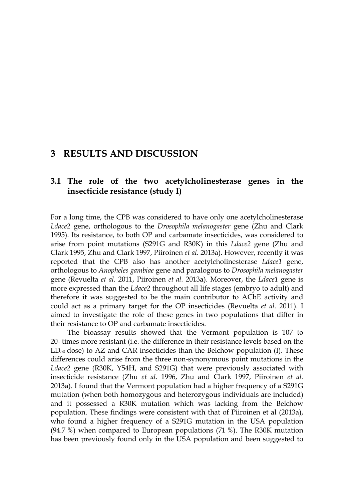### **3 RESULTS AND DISCUSSION**

### **3.1 The role of the two acetylcholinesterase genes in the insecticide resistance (study I)**

For a long time, the CPB was considered to have only one acetylcholinesterase *Ldace2* gene, orthologous to the *Drosophila melanogaster* gene (Zhu and Clark 1995). Its resistance, to both OP and carbamate insecticides, was considered to arise from point mutations (S291G and R30K) in this *Ldace2* gene (Zhu and Clark 1995, Zhu and Clark 1997, Piiroinen *et al.* 2013a). However, recently it was reported that the CPB also has another acetylcholinesterase *Ldace1* gene, orthologous to *Anopheles gambiae* gene and paralogous to *Drosophila melanogaster* gene (Revuelta *et al.* 2011, Piiroinen *et al.* 2013a). Moreover, the *Ldace1* gene is more expressed than the *Ldace2* throughout all life stages (embryo to adult) and therefore it was suggested to be the main contributor to AChE activity and could act as a primary target for the OP insecticides (Revuelta *et al.* 2011). I aimed to investigate the role of these genes in two populations that differ in their resistance to OP and carbamate insecticides.

The bioassay results showed that the Vermont population is 107- to 20- times more resistant (i.e. the difference in their resistance levels based on the  $LD_{50}$  dose) to  $AZ$  and  $CAR$  insecticides than the Belchow population (I). These differences could arise from the three non-synonymous point mutations in the *Ldace2* gene (R30K, Y54H, and S291G) that were previously associated with insecticide resistance (Zhu *et al.* 1996, Zhu and Clark 1997, Piiroinen *et al.* 2013a). I found that the Vermont population had a higher frequency of a S291G mutation (when both homozygous and heterozygous individuals are included) and it possessed a R30K mutation which was lacking from the Belchow population. These findings were consistent with that of Piiroinen et al (2013a), who found a higher frequency of a S291G mutation in the USA population (94.7 %) when compared to European populations (71 %). The R30K mutation has been previously found only in the USA population and been suggested to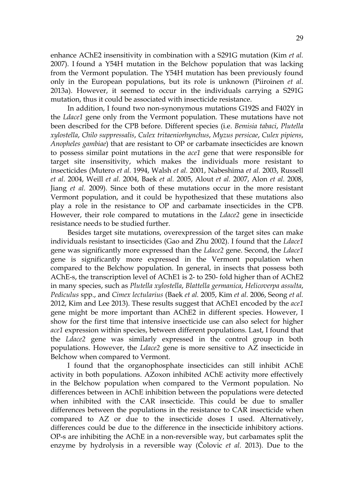enhance AChE2 insensitivity in combination with a S291G mutation (Kim *et al.* 2007). I found a Y54H mutation in the Belchow population that was lacking from the Vermont population. The Y54H mutation has been previously found only in the European populations, but its role is unknown (Piiroinen *et al.* 2013a). However, it seemed to occur in the individuals carrying a S291G mutation, thus it could be associated with insecticide resistance.

In addition, I found two non-synonymous mutations G192S and F402Y in the *Ldace1* gene only from the Vermont population. These mutations have not been described for the CPB before. Different species (i.e. *Bemisia tabaci*, *Plutella xylostella*, *Chilo suppressalis*, *Culex tritaeniorhynchus*, *Myzus persicae*, *Culex pipiens*, *Anopheles gambiae*) that are resistant to OP or carbamate insecticides are known to possess similar point mutations in the *ace1* gene that were responsible for target site insensitivity, which makes the individuals more resistant to insecticides (Mutero *et al.* 1994, Walsh *et al.* 2001, Nabeshima *et al.* 2003, Russell *et al.* 2004, Weill *et al.* 2004, Baek *et al.* 2005, Alout *et al.* 2007, Alon *et al.* 2008, Jiang *et al.* 2009). Since both of these mutations occur in the more resistant Vermont population, and it could be hypothesized that these mutations also play a role in the resistance to OP and carbamate insecticides in the CPB. However, their role compared to mutations in the *Ldace2* gene in insecticide resistance needs to be studied further.

Besides target site mutations, overexpression of the target sites can make individuals resistant to insecticides (Gao and Zhu 2002). I found that the *Ldace1* gene was significantly more expressed than the *Ldace2* gene. Second, the *Ldace1* gene is significantly more expressed in the Vermont population when compared to the Belchow population. In general, in insects that possess both AChE-s, the transcription level of AChE1 is 2- to 250- fold higher than of AChE2 in many species, such as *Plutella xylostella*, *Blattella germanica*, *Helicoverpa assulta*, *Pediculus* spp., and *Cimex lectularius* (Baek *et al.* 2005, Kim *et al.* 2006, Seong *et al.* 2012, Kim and Lee 2013). These results suggest that AChE1 encoded by the *ace1* gene might be more important than AChE2 in different species. However, I show for the first time that intensive insecticide use can also select for higher *ace1* expression within species, between different populations. Last, I found that the *Ldace2* gene was similarly expressed in the control group in both populations. However, the *Ldace2* gene is more sensitive to AZ insecticide in Belchow when compared to Vermont.

I found that the organophosphate insecticides can still inhibit AChE activity in both populations. AZoxon inhibited AChE activity more effectively in the Belchow population when compared to the Vermont population. No differences between in AChE inhibition between the populations were detected when inhibited with the CAR insecticide. This could be due to smaller differences between the populations in the resistance to CAR insecticide when compared to AZ or due to the insecticide doses I used. Alternatively, differences could be due to the difference in the insecticide inhibitory actions. OP-s are inhibiting the AChE in a non-reversible way, but carbamates split the enzyme by hydrolysis in a reversible way (Čolovic *et al.* 2013). Due to the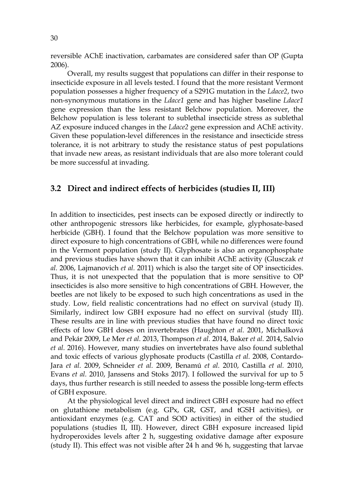reversible AChE inactivation, carbamates are considered safer than OP (Gupta 2006).

Overall, my results suggest that populations can differ in their response to insecticide exposure in all levels tested. I found that the more resistant Vermont population possesses a higher frequency of a S291G mutation in the *Ldace2*, two non-synonymous mutations in the *Ldace1* gene and has higher baseline *Ldace1* gene expression than the less resistant Belchow population. Moreover, the Belchow population is less tolerant to sublethal insecticide stress as sublethal AZ exposure induced changes in the *Ldace2* gene expression and AChE activity. Given these population-level differences in the resistance and insecticide stress tolerance, it is not arbitrary to study the resistance status of pest populations that invade new areas, as resistant individuals that are also more tolerant could be more successful at invading.

#### **3.2 Direct and indirect effects of herbicides (studies II, III)**

In addition to insecticides, pest insects can be exposed directly or indirectly to other anthropogenic stressors like herbicides, for example, glyphosate-based herbicide (GBH). I found that the Belchow population was more sensitive to direct exposure to high concentrations of GBH, while no differences were found in the Vermont population (study II). Glyphosate is also an organophosphate and previous studies have shown that it can inhibit AChE activity (Glusczak *et al.* 2006, Lajmanovich *et al.* 2011) which is also the target site of OP insecticides. Thus, it is not unexpected that the population that is more sensitive to OP insecticides is also more sensitive to high concentrations of GBH. However, the beetles are not likely to be exposed to such high concentrations as used in the study. Low, field realistic concentrations had no effect on survival (study II). Similarly, indirect low GBH exposure had no effect on survival (study III). These results are in line with previous studies that have found no direct toxic effects of low GBH doses on invertebrates (Haughton *et al.* 2001, Michalková and Pekár 2009, Le Mer *et al.* 2013, Thompson *et al.* 2014, Baker *et al.* 2014, Salvio *et al.* 2016). However, many studies on invertebrates have also found sublethal and toxic effects of various glyphosate products (Castilla *et al.* 2008, Contardo-Jara *et al.* 2009, Schneider *et al.* 2009, Benamú *et al.* 2010, Castilla *et al.* 2010, Evans *et al.* 2010, Janssens and Stoks 2017). I followed the survival for up to 5 days, thus further research is still needed to assess the possible long-term effects of GBH exposure.

At the physiological level direct and indirect GBH exposure had no effect on glutathione metabolism (e.g. GPx, GR, GST, and tGSH activities), or antioxidant enzymes (e.g. CAT and SOD activities) in either of the studied populations (studies II, III). However, direct GBH exposure increased lipid hydroperoxides levels after 2 h, suggesting oxidative damage after exposure (study II). This effect was not visible after 24 h and 96 h, suggesting that larvae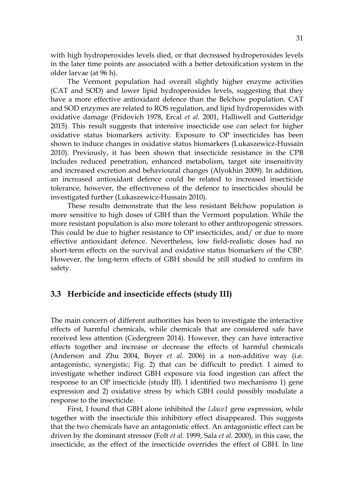with high hydroperoxides levels died, or that decreased hydroperoxides levels in the later time points are associated with a better detoxification system in the older larvae (at 96 h).

The Vermont population had overall slightly higher enzyme activities (CAT and SOD) and lower lipid hydroperoxides levels, suggesting that they have a more effective antioxidant defence than the Belchow population. CAT and SOD enzymes are related to ROS regulation, and lipid hydroperoxides with oxidative damage (Fridovich 1978, Ercal *et al.* 2001, Halliwell and Gutteridge 2015). This result suggests that intensive insecticide use can select for higher oxidative status biomarkers activity. Exposure to OP insecticides has been shown to induce changes in oxidative status biomarkers (Lukaszewicz-Hussain 2010). Previously, it has been shown that insecticide resistance in the CPB includes reduced penetration, enhanced metabolism, target site insensitivity and increased excretion and behavioural changes (Alyokhin 2009). In addition, an increased antioxidant defence could be related to increased insecticide tolerance, however, the effectiveness of the defence to insecticides should be investigated further (Lukaszewicz-Hussain 2010).

These results demonstrate that the less resistant Belchow population is more sensitive to high doses of GBH than the Vermont population. While the more resistant population is also more tolerant to other anthropogenic stressors. This could be due to higher resistance to OP insecticides, and/ or due to more effective antioxidant defence. Nevertheless, low field-realistic doses had no short-term effects on the survival and oxidative status biomarkers of the CBP. However, the long-term effects of GBH should be still studied to confirm its safety.

#### **3.3 Herbicide and insecticide effects (study III)**

The main concern of different authorities has been to investigate the interactive effects of harmful chemicals, while chemicals that are considered safe have received less attention (Cedergreen 2014). However, they can have interactive effects together and increase or decrease the effects of harmful chemicals (Anderson and Zhu 2004, Boyer *et al.* 2006) in a non-additive way (i.e. antagonistic, synergistic; Fig. 2) that can be difficult to predict. I aimed to investigate whether indirect GBH exposure via food ingestion can affect the response to an OP insecticide (study III). I identified two mechanisms 1) gene expression and 2) oxidative stress by which GBH could possibly modulate a response to the insecticide.

First, I found that GBH alone inhibited the *Ldace1* gene expression, while together with the insecticide this inhibitory effect disappeared. This suggests that the two chemicals have an antagonistic effect. An antagonistic effect can be driven by the dominant stressor (Folt *et al.* 1999, Sala *et al.* 2000), in this case, the insecticide, as the effect of the insecticide overrides the effect of GBH. In line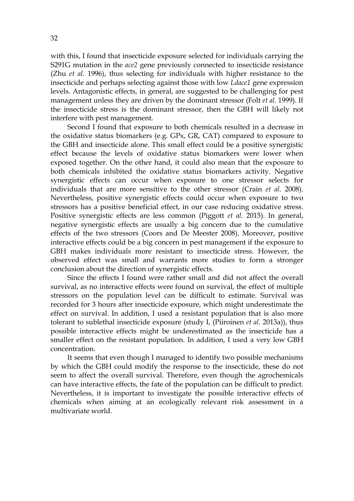with this, I found that insecticide exposure selected for individuals carrying the S291G mutation in the *ace2* gene previously connected to insecticide resistance (Zhu *et al.* 1996), thus selecting for individuals with higher resistance to the insecticide and perhaps selecting against those with low *Ldace1* gene expression levels. Antagonistic effects, in general, are suggested to be challenging for pest management unless they are driven by the dominant stressor (Folt *et al.* 1999). If the insecticide stress is the dominant stressor, then the GBH will likely not interfere with pest management.

Second I found that exposure to both chemicals resulted in a decrease in the oxidative status biomarkers (e.g. GPx, GR, CAT) compared to exposure to the GBH and insecticide alone. This small effect could be a positive synergistic effect because the levels of oxidative status biomarkers were lower when exposed together. On the other hand, it could also mean that the exposure to both chemicals inhibited the oxidative status biomarkers activity. Negative synergistic effects can occur when exposure to one stressor selects for individuals that are more sensitive to the other stressor (Crain *et al.* 2008). Nevertheless, positive synergistic effects could occur when exposure to two stressors has a positive beneficial effect, in our case reducing oxidative stress. Positive synergistic effects are less common (Piggott *et al.* 2015). In general, negative synergistic effects are usually a big concern due to the cumulative effects of the two stressors (Coors and De Meester 2008). Moreover, positive interactive effects could be a big concern in pest management if the exposure to GBH makes individuals more resistant to insecticide stress. However, the observed effect was small and warrants more studies to form a stronger conclusion about the direction of synergistic effects.

Since the effects I found were rather small and did not affect the overall survival, as no interactive effects were found on survival, the effect of multiple stressors on the population level can be difficult to estimate. Survival was recorded for 3 hours after insecticide exposure, which might underestimate the effect on survival. In addition, I used a resistant population that is also more tolerant to sublethal insecticide exposure (study I, (Piiroinen *et al.* 2013a)), thus possible interactive effects might be underestimated as the insecticide has a smaller effect on the resistant population. In addition, I used a very low GBH concentration.

It seems that even though I managed to identify two possible mechanisms by which the GBH could modify the response to the insecticide, these do not seem to affect the overall survival. Therefore, even though the agrochemicals can have interactive effects, the fate of the population can be difficult to predict. Nevertheless, it is important to investigate the possible interactive effects of chemicals when aiming at an ecologically relevant risk assessment in a multivariate world.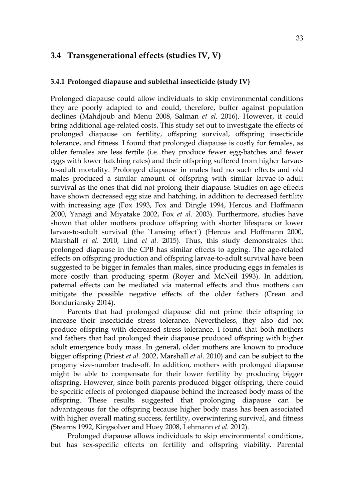### **3.4 Transgenerational effects (studies IV, V)**

#### **3.4.1 Prolonged diapause and sublethal insecticide (study IV)**

Prolonged diapause could allow individuals to skip environmental conditions they are poorly adapted to and could, therefore, buffer against population declines (Mahdjoub and Menu 2008, Salman *et al.* 2016). However, it could bring additional age-related costs. This study set out to investigate the effects of prolonged diapause on fertility, offspring survival, offspring insecticide tolerance, and fitness. I found that prolonged diapause is costly for females, as older females are less fertile (i.e. they produce fewer egg-batches and fewer eggs with lower hatching rates) and their offspring suffered from higher larvaeto-adult mortality. Prolonged diapause in males had no such effects and old males produced a similar amount of offspring with similar larvae-to-adult survival as the ones that did not prolong their diapause. Studies on age effects have shown decreased egg size and hatching, in addition to decreased fertility with increasing age (Fox 1993, Fox and Dingle 1994, Hercus and Hoffmann 2000, Yanagi and Miyatake 2002, Fox *et al.* 2003). Furthermore, studies have shown that older mothers produce offspring with shorter lifespans or lower larvae-to-adult survival (the `Lansing effect`) (Hercus and Hoffmann 2000, Marshall *et al.* 2010, Lind *et al.* 2015). Thus, this study demonstrates that prolonged diapause in the CPB has similar effects to ageing. The age-related effects on offspring production and offspring larvae-to-adult survival have been suggested to be bigger in females than males, since producing eggs in females is more costly than producing sperm (Royer and McNeil 1993). In addition, paternal effects can be mediated via maternal effects and thus mothers can mitigate the possible negative effects of the older fathers (Crean and Bonduriansky 2014).

Parents that had prolonged diapause did not prime their offspring to increase their insecticide stress tolerance. Nevertheless, they also did not produce offspring with decreased stress tolerance. I found that both mothers and fathers that had prolonged their diapause produced offspring with higher adult emergence body mass. In general, older mothers are known to produce bigger offspring (Priest *et al.* 2002, Marshall *et al.* 2010) and can be subject to the progeny size-number trade-off. In addition, mothers with prolonged diapause might be able to compensate for their lower fertility by producing bigger offspring. However, since both parents produced bigger offspring, there could be specific effects of prolonged diapause behind the increased body mass of the offspring. These results suggested that prolonging diapause can be advantageous for the offspring because higher body mass has been associated with higher overall mating success, fertility, overwintering survival, and fitness (Stearns 1992, Kingsolver and Huey 2008, Lehmann *et al.* 2012).

Prolonged diapause allows individuals to skip environmental conditions, but has sex-specific effects on fertility and offspring viability. Parental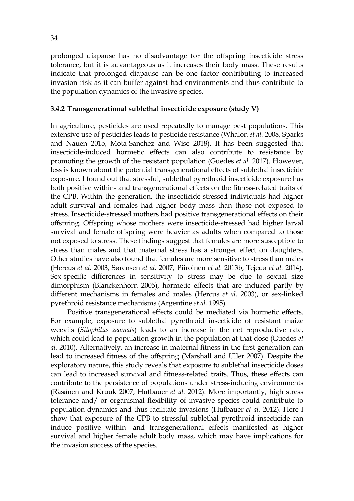prolonged diapause has no disadvantage for the offspring insecticide stress tolerance, but it is advantageous as it increases their body mass. These results indicate that prolonged diapause can be one factor contributing to increased invasion risk as it can buffer against bad environments and thus contribute to the population dynamics of the invasive species.

#### **3.4.2 Transgenerational sublethal insecticide exposure (study V)**

In agriculture, pesticides are used repeatedly to manage pest populations. This extensive use of pesticides leads to pesticide resistance (Whalon *et al.* 2008, Sparks and Nauen 2015, Mota-Sanchez and Wise 2018). It has been suggested that insecticide-induced hormetic effects can also contribute to resistance by promoting the growth of the resistant population (Guedes *et al.* 2017). However, less is known about the potential transgenerational effects of sublethal insecticide exposure. I found out that stressful, sublethal pyrethroid insecticide exposure has both positive within- and transgenerational effects on the fitness-related traits of the CPB. Within the generation, the insecticide-stressed individuals had higher adult survival and females had higher body mass than those not exposed to stress. Insecticide-stressed mothers had positive transgenerational effects on their offspring. Offspring whose mothers were insecticide-stressed had higher larval survival and female offspring were heavier as adults when compared to those not exposed to stress. These findings suggest that females are more susceptible to stress than males and that maternal stress has a stronger effect on daughters. Other studies have also found that females are more sensitive to stress than males (Hercus *et al.* 2003, Sørensen *et al.* 2007, Piiroinen *et al.* 2013b, Tejeda *et al.* 2014). Sex-specific differences in sensitivity to stress may be due to sexual size dimorphism (Blanckenhorn 2005), hormetic effects that are induced partly by different mechanisms in females and males (Hercus *et al.* 2003), or sex-linked pyrethroid resistance mechanisms (Argentine *et al.* 1995).

Positive transgenerational effects could be mediated via hormetic effects. For example, exposure to sublethal pyrethroid insecticide of resistant maize weevils (*Sitophilus zeamais*) leads to an increase in the net reproductive rate, which could lead to population growth in the population at that dose (Guedes *et al.* 2010). Alternatively, an increase in maternal fitness in the first generation can lead to increased fitness of the offspring (Marshall and Uller 2007). Despite the exploratory nature, this study reveals that exposure to sublethal insecticide doses can lead to increased survival and fitness-related traits. Thus, these effects can contribute to the persistence of populations under stress-inducing environments (Räsänen and Kruuk 2007, Hufbauer *et al.* 2012). More importantly, high stress tolerance and/ or organismal flexibility of invasive species could contribute to population dynamics and thus facilitate invasions (Hufbauer *et al.* 2012). Here I show that exposure of the CPB to stressful sublethal pyrethroid insecticide can induce positive within- and transgenerational effects manifested as higher survival and higher female adult body mass, which may have implications for the invasion success of the species.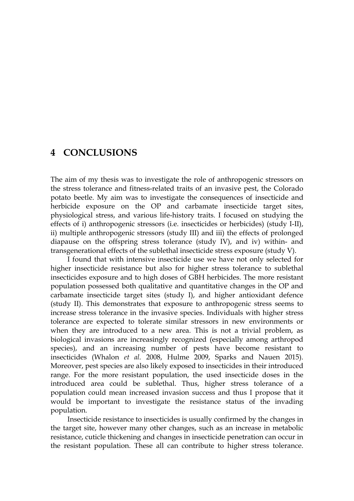### **4 CONCLUSIONS**

The aim of my thesis was to investigate the role of anthropogenic stressors on the stress tolerance and fitness-related traits of an invasive pest, the Colorado potato beetle. My aim was to investigate the consequences of insecticide and herbicide exposure on the OP and carbamate insecticide target sites, physiological stress, and various life-history traits. I focused on studying the effects of i) anthropogenic stressors (i.e. insecticides or herbicides) (study I-II), ii) multiple anthropogenic stressors (study III) and iii) the effects of prolonged diapause on the offspring stress tolerance (study IV), and iv) within- and transgenerational effects of the sublethal insecticide stress exposure (study V).

I found that with intensive insecticide use we have not only selected for higher insecticide resistance but also for higher stress tolerance to sublethal insecticides exposure and to high doses of GBH herbicides. The more resistant population possessed both qualitative and quantitative changes in the OP and carbamate insecticide target sites (study I), and higher antioxidant defence (study II). This demonstrates that exposure to anthropogenic stress seems to increase stress tolerance in the invasive species. Individuals with higher stress tolerance are expected to tolerate similar stressors in new environments or when they are introduced to a new area. This is not a trivial problem, as biological invasions are increasingly recognized (especially among arthropod species), and an increasing number of pests have become resistant to insecticides (Whalon *et al.* 2008, Hulme 2009, Sparks and Nauen 2015). Moreover, pest species are also likely exposed to insecticides in their introduced range. For the more resistant population, the used insecticide doses in the introduced area could be sublethal. Thus, higher stress tolerance of a population could mean increased invasion success and thus I propose that it would be important to investigate the resistance status of the invading population.

Insecticide resistance to insecticides is usually confirmed by the changes in the target site, however many other changes, such as an increase in metabolic resistance, cuticle thickening and changes in insecticide penetration can occur in the resistant population. These all can contribute to higher stress tolerance.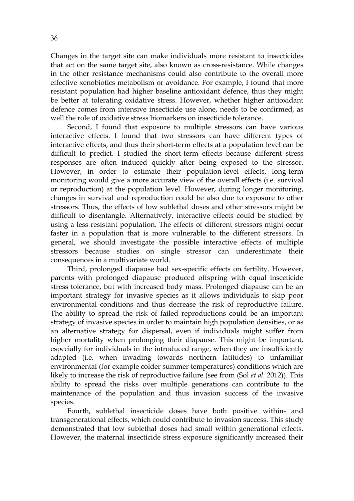Changes in the target site can make individuals more resistant to insecticides that act on the same target site, also known as cross-resistance. While changes in the other resistance mechanisms could also contribute to the overall more effective xenobiotics metabolism or avoidance. For example, I found that more resistant population had higher baseline antioxidant defence, thus they might be better at tolerating oxidative stress. However, whether higher antioxidant defence comes from intensive insecticide use alone, needs to be confirmed, as well the role of oxidative stress biomarkers on insecticide tolerance.

Second, I found that exposure to multiple stressors can have various interactive effects. I found that two stressors can have different types of interactive effects, and thus their short-term effects at a population level can be difficult to predict. I studied the short-term effects because different stress responses are often induced quickly after being exposed to the stressor. However, in order to estimate their population-level effects, long-term monitoring would give a more accurate view of the overall effects (i.e. survival or reproduction) at the population level. However, during longer monitoring, changes in survival and reproduction could be also due to exposure to other stressors. Thus, the effects of low sublethal doses and other stressors might be difficult to disentangle. Alternatively, interactive effects could be studied by using a less resistant population. The effects of different stressors might occur faster in a population that is more vulnerable to the different stressors. In general, we should investigate the possible interactive effects of multiple stressors because studies on single stressor can underestimate their consequences in a multivariate world.

Third, prolonged diapause had sex-specific effects on fertility. However, parents with prolonged diapause produced offspring with equal insecticide stress tolerance, but with increased body mass. Prolonged diapause can be an important strategy for invasive species as it allows individuals to skip poor environmental conditions and thus decrease the risk of reproductive failure. The ability to spread the risk of failed reproductions could be an important strategy of invasive species in order to maintain high population densities, or as an alternative strategy for dispersal, even if individuals might suffer from higher mortality when prolonging their diapause. This might be important, especially for individuals in the introduced range, when they are insufficiently adapted (i.e. when invading towards northern latitudes) to unfamiliar environmental (for example colder summer temperatures) conditions which are likely to increase the risk of reproductive failure (see from (Sol *et al.* 2012)). This ability to spread the risks over multiple generations can contribute to the maintenance of the population and thus invasion success of the invasive species.

Fourth, sublethal insecticide doses have both positive within- and transgenerational effects, which could contribute to invasion success. This study demonstrated that low sublethal doses had small within generational effects. However, the maternal insecticide stress exposure significantly increased their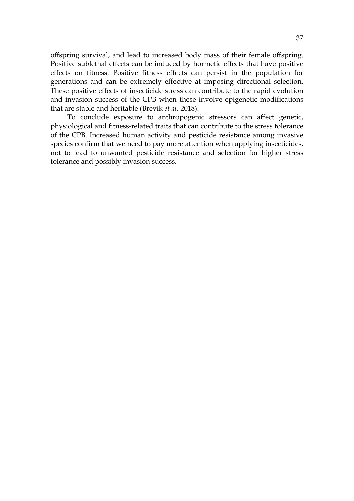offspring survival, and lead to increased body mass of their female offspring. Positive sublethal effects can be induced by hormetic effects that have positive effects on fitness. Positive fitness effects can persist in the population for generations and can be extremely effective at imposing directional selection. These positive effects of insecticide stress can contribute to the rapid evolution and invasion success of the CPB when these involve epigenetic modifications that are stable and heritable (Brevik *et al.* 2018).

To conclude exposure to anthropogenic stressors can affect genetic, physiological and fitness-related traits that can contribute to the stress tolerance of the CPB. Increased human activity and pesticide resistance among invasive species confirm that we need to pay more attention when applying insecticides, not to lead to unwanted pesticide resistance and selection for higher stress tolerance and possibly invasion success.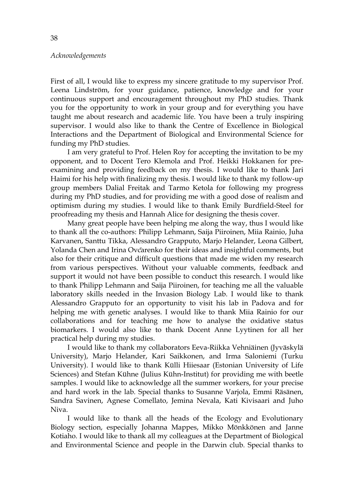#### *Acknowledgements*

First of all, I would like to express my sincere gratitude to my supervisor Prof. Leena Lindström, for your guidance, patience, knowledge and for your continuous support and encouragement throughout my PhD studies. Thank you for the opportunity to work in your group and for everything you have taught me about research and academic life. You have been a truly inspiring supervisor. I would also like to thank the Centre of Excellence in Biological Interactions and the Department of Biological and Environmental Science for funding my PhD studies.

I am very grateful to Prof. Helen Roy for accepting the invitation to be my opponent, and to Docent Tero Klemola and Prof. Heikki Hokkanen for preexamining and providing feedback on my thesis. I would like to thank Jari Haimi for his help with finalizing my thesis. I would like to thank my follow-up group members Dalial Freitak and Tarmo Ketola for following my progress during my PhD studies, and for providing me with a good dose of realism and optimism during my studies. I would like to thank Emily Burdfield-Steel for proofreading my thesis and Hannah Alice for designing the thesis cover.

Many great people have been helping me along the way, thus I would like to thank all the co-authors: Philipp Lehmann, Saija Piiroinen, Miia Rainio, Juha Karvanen, Santtu Tikka, Alessandro Grapputo, Marjo Helander, Leona Gilbert, Yolanda Chen and Irina Ovčarenko for their ideas and insightful comments, but also for their critique and difficult questions that made me widen my research from various perspectives. Without your valuable comments, feedback and support it would not have been possible to conduct this research. I would like to thank Philipp Lehmann and Saija Piiroinen, for teaching me all the valuable laboratory skills needed in the Invasion Biology Lab. I would like to thank Alessandro Grapputo for an opportunity to visit his lab in Padova and for helping me with genetic analyses. I would like to thank Miia Rainio for our collaborations and for teaching me how to analyse the oxidative status biomarkers. I would also like to thank Docent Anne Lyytinen for all her practical help during my studies.

I would like to thank my collaborators Eeva-Riikka Vehniäinen (Jyväskylä University), Marjo Helander, Kari Saikkonen, and Irma Saloniemi (Turku University). I would like to thank Külli Hiiesaar (Estonian University of Life Sciences) and Stefan Kühne (Julius Kühn-Institut) for providing me with beetle samples. I would like to acknowledge all the summer workers, for your precise and hard work in the lab. Special thanks to Susanne Varjola, Emmi Räsänen, Sandra Savinen, Agnese Comellato, Jemina Nevala, Kati Kivisaari and Juho Niva.

I would like to thank all the heads of the Ecology and Evolutionary Biology section, especially Johanna Mappes, Mikko Mönkkönen and Janne Kotiaho. I would like to thank all my colleagues at the Department of Biological and Environmental Science and people in the Darwin club. Special thanks to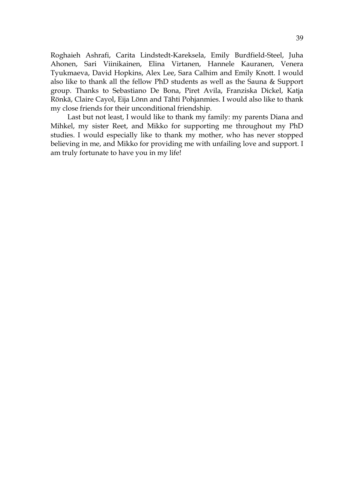Roghaieh Ashrafi, Carita Lindstedt-Kareksela, Emily Burdfield-Steel, Juha Ahonen, Sari Viinikainen, Elina Virtanen, Hannele Kauranen, Venera Tyukmaeva, David Hopkins, Alex Lee, Sara Calhim and Emily Knott. I would also like to thank all the fellow PhD students as well as the Sauna & Support group. Thanks to Sebastiano De Bona, Piret Avila, Franziska Dickel, Katja Rönkä, Claire Cayol, Eija Lönn and Tähti Pohjanmies. I would also like to thank my close friends for their unconditional friendship.

Last but not least, I would like to thank my family: my parents Diana and Mihkel, my sister Reet, and Mikko for supporting me throughout my PhD studies. I would especially like to thank my mother, who has never stopped believing in me, and Mikko for providing me with unfailing love and support. I am truly fortunate to have you in my life!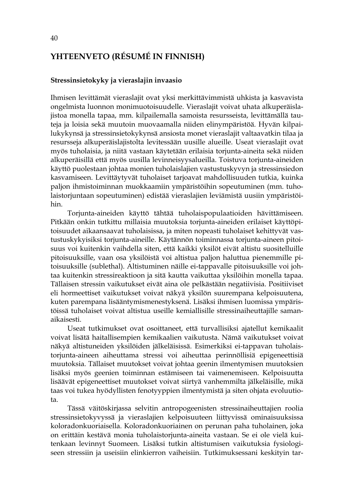# **YHTEENVETO (RÉSUMÉ IN FINNISH)**

#### **Stressinsietokyky ja vieraslajin invaasio**

Ihmisen levittämät vieraslajit ovat yksi merkittävimmistä uhkista ja kasvavista ongelmista luonnon monimuotoisuudelle. Vieraslajit voivat uhata alkuperäislajistoa monella tapaa, mm. kilpailemalla samoista resursseista, levittämällä tauteja ja loisia sekä muutoin muovaamalla niiden elinympäristöä. Hyvän kilpailukykynsä ja stressinsietokykynsä ansiosta monet vieraslajit valtaavatkin tilaa ja resursseja alkuperäislajistolta levitessään uusille alueille. Useat vieraslajit ovat myös tuholaisia, ja niitä vastaan käytetään erilaisia torjunta-aineita sekä niiden alkuperäisillä että myös uusilla levinneisyysalueilla. Toistuva torjunta-aineiden käyttö puolestaan johtaa monien tuholaislajien vastustuskyvyn ja stressinsiedon kasvamiseen. Levittäytyvät tuholaiset tarjoavat mahdollisuuden tutkia, kuinka paljon ihmistoiminnan muokkaamiin ympäristöihin sopeutuminen (mm. tuholaistorjuntaan sopeutuminen) edistää vieraslajien leviämistä uusiin ympäristöihin.

Torjunta-aineiden käyttö tähtää tuholaispopulaatioiden hävittämiseen. Pitkään onkin tutkittu millaisia muutoksia torjunta-aineiden erilaiset käyttöpitoisuudet aikaansaavat tuholaisissa, ja miten nopeasti tuholaiset kehittyvät vastustuskykyisiksi torjunta-aineille. Käytännön toiminnassa torjunta-aineen pitoisuus voi kuitenkin vaihdella siten, että kaikki yksilöt eivät altistu suositelluille pitoisuuksille, vaan osa yksilöistä voi altistua paljon haluttua pienemmille pitoisuuksille (sublethal). Altistuminen näille ei-tappavalle pitoisuuksille voi johtaa kuitenkin stressireaktioon ja sitä kautta vaikuttaa yksilöihin monella tapaa. Tällaisen stressin vaikutukset eivät aina ole pelkästään negatiivisia. Positiiviset eli hormeettiset vaikutukset voivat näkyä yksilön suurempana kelpoisuutena, kuten parempana lisääntymismenestyksenä. Lisäksi ihmisen luomissa ympäristöissä tuholaiset voivat altistua useille kemiallisille stressinaiheuttajille samanaikaisesti.

Useat tutkimukset ovat osoittaneet, että turvallisiksi ajatellut kemikaalit voivat lisätä haitallisempien kemikaalien vaikutusta. Nämä vaikutukset voivat näkyä altistuneiden yksilöiden jälkeläisissä. Esimerkiksi ei-tappavan tuholaistorjunta-aineen aiheuttama stressi voi aiheuttaa perinnöllisiä epigeneettisiä muutoksia. Tällaiset muutokset voivat johtaa geenin ilmentymisen muutoksien lisäksi myös geenien toiminnan estämiseen tai vaimenemiseen. Kelpoisuutta lisäävät epigeneettiset muutokset voivat siirtyä vanhemmilta jälkeläisille, mikä taas voi tukea hyödyllisten fenotyyppien ilmentymistä ja siten ohjata evoluutiota.

Tässä väitöskirjassa selvitin antropogeenisten stressinaiheuttajien roolia stressinsietokyvyssä ja vieraslajien kelpoisuuteen liittyvissä ominaisuuksissa koloradonkuoriaisella. Koloradonkuoriainen on perunan paha tuholainen, joka on erittäin kestävä monia tuholaistorjunta-aineita vastaan. Se ei ole vielä kuitenkaan levinnyt Suomeen. Lisäksi tutkin altistumisen vaikutuksia fysiologiseen stressiin ja useisiin elinkierron vaiheisiin. Tutkimuksessani keskityin tar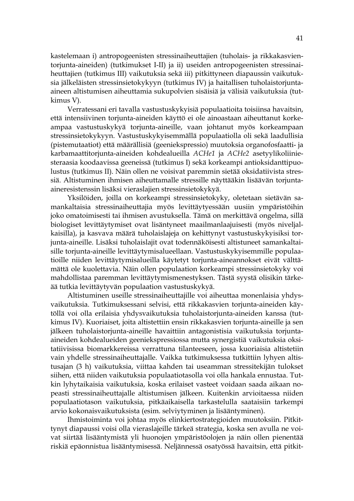kastelemaan i) antropogeenisten stressinaiheuttajien (tuholais- ja rikkakasvientorjunta-aineiden) (tutkimukset I-II) ja ii) useiden antropogeenisten stressinaiheuttajien (tutkimus III) vaikutuksia sekä iii) pitkittyneen diapaussin vaikutuksia jälkeläisten stressinsietokykyyn (tutkimus IV) ja haitallisen tuholaistorjuntaaineen altistumisen aiheuttamia sukupolvien sisäisiä ja välisiä vaikutuksia (tutkimus V).

Verratessani eri tavalla vastustuskykyisiä populaatioita toisiinsa havaitsin, että intensiivinen torjunta-aineiden käyttö ei ole ainoastaan aiheuttanut korkeampaa vastustuskykyä torjunta-aineille, vaan johtanut myös korkeampaan stressinsietokykyyn. Vastustuskykyisemmällä populaatiolla oli sekä laadullisia (pistemutaatiot) että määrällisiä (geeniekspressio) muutoksia organofosfaatti- ja karbamaattitorjunta-aineiden kohdealueilla *ACHe1* ja *ACHe2* asetyylikoliiniesteraasia koodaavissa geeneissä (tutkimus I) sekä korkeampi antioksidanttipuolustus (tutkimus II). Näin ollen ne voisivat paremmin sietää oksidatiivista stressiä. Altistuminen ihmisen aiheuttamalle stressille näyttääkin lisäävän torjuntaaineresistenssin lisäksi vieraslajien stressinsietokykyä.

Yksilöiden, joilla on korkeampi stressinsietokyky, oletetaan sietävän samankaltaisia stressinaiheuttajia myös levittäytyessään uusiin ympäristöihin joko omatoimisesti tai ihmisen avustuksella. Tämä on merkittävä ongelma, sillä biologiset levittäytymiset ovat lisäntyneet maailmanlaajuisesti (myös niveljalkaisilla), ja kasvava määrä tuholaislajeja on kehittynyt vastustuskykyisiksi torjunta-aineille. Lisäksi tuholaislajit ovat todennäköisesti altistuneet samankaltaisille torjunta-aineille levittäytymisalueellaan. Vastustuskykyisemmille populaatioille niiden levittäytymisalueilla käytetyt torjunta-aineannokset eivät välttämättä ole kuolettavia. Näin ollen populaation korkeampi stressinsietokyky voi mahdollistaa paremman levittäytymismenestyksen. Tästä syystä olisikin tärkeää tutkia levittäytyvän populaation vastustuskykyä.

Altistuminen useille stressinaiheuttajille voi aiheuttaa monenlaisia yhdysvaikutuksia. Tutkimuksessani selvisi, että rikkakasvien torjunta-aineiden käytöllä voi olla erilaisia yhdysvaikutuksia tuholaistorjunta-aineiden kanssa (tutkimus IV). Kuoriaiset, joita altistettiin ensin rikkakasvien torjunta-aineille ja sen jälkeen tuholaistorjunta-aineille havaittiin antagonistisia vaikutuksia torjuntaaineiden kohdealueiden geeniekspressiossa mutta synergistiä vaikutuksia oksitatiivisissa biomarkkereissa verrattuna tilanteeseen, jossa kuoriaisia altistetiin vain yhdelle stressinaiheuttajalle. Vaikka tutkimuksessa tutkittiin lyhyen altistusajan (3 h) vaikutuksia, viittaa kahden tai useamman stressitekijän tulokset siihen, että niiden vaikutuksia populaatiotasolla voi olla hankala ennustaa. Tutkin lyhytaikaisia vaikutuksia, koska erilaiset vasteet voidaan saada aikaan nopeasti stressinaiheuttajalle altistumisen jälkeen. Kuitenkin arvioitaessa niiden populaatiotason vaikutuksia, pitkäaikaisella tarkastelulla saataisiin tarkempi arvio kokonaisvaikutuksista (esim. selviytyminen ja lisääntyminen).

Ihmistoiminta voi johtaa myös elinkiertostrategioiden muutoksiin. Pitkittynyt diapaussi voisi olla vieraslajeille tärkeä strategia, koska sen avulla ne voivat siirtää lisääntymistä yli huonojen ympäristöolojen ja näin ollen pienentää riskiä epäonnistua lisääntymisessä. Neljännessä osatyössä havaitsin, että pitkit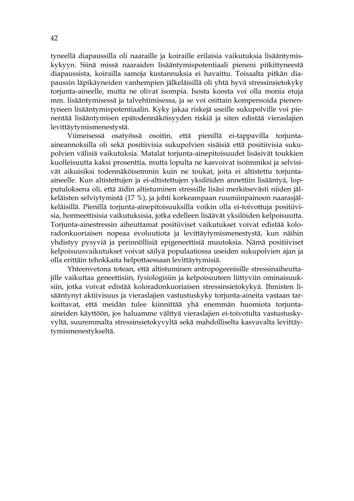tyneellä diapaussilla oli naaraille ja koiraille erilaisia vaikutuksia lisääntymiskykyyn. Siinä missä naaraiden lisääntymispotentiaali pieneni pitkittyneestä diapaussista, koirailla samoja kustannuksia ei havaittu. Toisaalta pitkän diapaussin läpikäyneiden vanhempien jälkeläisillä oli yhtä hyvä stressinsietokyky torjunta-aineelle, mutta ne olivat isompia. Isosta koosta voi olla monia etuja mm. lisääntymisessä ja talvehtimisessa, ja se voi osittain kompensoida pienentyneen lisääntymispotentiaalin. Kyky jakaa riskejä useille sukupolville voi pienentää lisääntymisen epätodennäköisyyden riskiä ja siten edistää vieraslajien levittäytymismenestystä.

Viimeisessä osatyössä osoitin, että pienillä ei-tappavilla torjuntaaineannoksilla oli sekä positiivisia sukupolvien sisäisiä että positiivisia sukupolvien välisiä vaikutuksia. Matalat torjunta-ainepitoisuudet lisäsivät toukkien kuolleisuutta kaksi prosenttia, mutta lopulta ne kasvoivat isoimmiksi ja selvisivät aikuisiksi todennäköisemmin kuin ne toukat, joita ei altistettu torjuntaaineelle. Kun altistettujen ja ei-altistettujen yksilöiden annettiin lisääntyä, lopputuloksena oli, että äidin altistuminen stressille lisäsi merkitsevästi niiden jälkeläisten selviytymistä (17 %), ja johti korkeampaan ruumiinpainoon naarasjälkeläisillä. Pienillä torjunta-ainepitoisuuksilla voikin olla ei-toivottuja positiivisia, hormeettisisia vaikutuksisia, jotka edelleen lisäävät yksilöiden kelpoisuutta. Torjunta-ainestressin aiheuttamat positiiviset vaikutukset voivat edistää koloradonkuoriaisen nopeaa evoluutiota ja levittäytymismenestystä, kun näihin yhdistyy pysyviä ja perinnöllisiä epigeneettisiä muutoksia. Nämä positiiviset kelpoisuusvaikutukset voivat säilyä populaatiossa useiden sukupolvien ajan ja olla erittäin tehokkaita helpottaessaan levittäytymisiä.

Yhteenvetona totean, että altistuminen antropogeenisille stressinaiheuttajille vaikuttaa geneettisiin, fysiologisiin ja kelpoisuuteen liittyviin ominaisuuksiin, jotka voivat edistää koloradonkuoriaisen stressinsietokykyä. Ihmisten lisääntynyt aktiivisuus ja vieraslajien vastustuskyky torjunta-aineita vastaan tarkoittavat, että meidän tulee kiinnittää yhä enemmän huomiota torjuntaaineiden käyttöön, jos haluamme välttyä vieraslajien ei-toivotulta vastustuskyvyltä, suuremmalta stressinsietokyvyltä sekä mahdolliselta kasvavalta levittäytymismenestykseltä.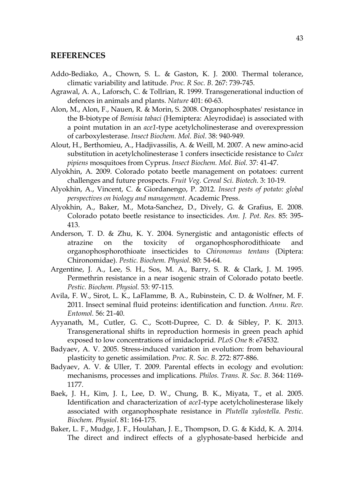#### **REFERENCES**

- Addo-Bediako, A., Chown, S. L. & Gaston, K. J. 2000. Thermal tolerance, climatic variability and latitude. *Proc. R Soc. B.* 267: 739-745.
- Agrawal, A. A., Laforsch, C. & Tollrian, R. 1999. Transgenerational induction of defences in animals and plants. *Nature* 401: 60-63.
- Alon, M., Alon, F., Nauen, R. & Morin, S. 2008. Organophosphates' resistance in the B-biotype of *Bemisia tabaci* (Hemiptera: Aleyrodidae) is associated with a point mutation in an *ace1*-type acetylcholinesterase and overexpression of carboxylesterase. *Insect Biochem. Mol. Biol*. 38: 940-949.
- Alout, H., Berthomieu, A., Hadjivassilis, A. & Weill, M. 2007. A new amino-acid substitution in acetylcholinesterase 1 confers insecticide resistance to *Culex pipiens* mosquitoes from Cyprus. *Insect Biochem. Mol. Biol.* 37: 41-47.
- Alyokhin, A. 2009. Colorado potato beetle management on potatoes: current challenges and future prospects. *Fruit Veg. Cereal Sci. Biotech*. 3: 10-19.
- Alyokhin, A., Vincent, C. & Giordanengo, P. 2012. *Insect pests of potato: global perspectives on biology and management*. Academic Press.
- Alyokhin, A., Baker, M., Mota-Sanchez, D., Dively, G. & Grafius, E. 2008. Colorado potato beetle resistance to insecticides. *Am. J. Pot. Res.* 85: 395- 413.
- Anderson, T. D. & Zhu, K. Y. 2004. Synergistic and antagonistic effects of atrazine on the toxicity of organophosphorodithioate and organophosphorothioate insecticides to *Chironomus tentans* (Diptera: Chironomidae). *Pestic. Biochem. Physiol.* 80: 54-64.
- Argentine, J. A., Lee, S. H., Sos, M. A., Barry, S. R. & Clark, J. M. 1995. Permethrin resistance in a near isogenic strain of Colorado potato beetle. *Pestic. Biochem. Physiol.* 53: 97-115.
- Avila, F. W., Sirot, L. K., LaFlamme, B. A., Rubinstein, C. D. & Wolfner, M. F. 2011. Insect seminal fluid proteins: identification and function. *Annu. Rev. Entomol.* 56: 21-40.
- Ayyanath, M., Cutler, G. C., Scott-Dupree, C. D. & Sibley, P. K. 2013. Transgenerational shifts in reproduction hormesis in green peach aphid exposed to low concentrations of imidacloprid. *PLoS One* 8: e74532.
- Badyaev, A. V. 2005. Stress-induced variation in evolution: from behavioural plasticity to genetic assimilation. *Proc. R. Soc. B*. 272: 877-886.
- Badyaev, A. V. & Uller, T. 2009. Parental effects in ecology and evolution: mechanisms, processes and implications*. Philos. Trans. R. Soc. B.* 364: 1169- 1177.
- Baek, J. H., Kim, J. I., Lee, D. W., Chung, B. K., Miyata, T., et al. 2005. Identification and characterization of *ace1*-type acetylcholinesterase likely associated with organophosphate resistance in *Plutella xylostella*. *Pestic. Biochem. Physiol*. 81: 164-175.
- Baker, L. F., Mudge, J. F., Houlahan, J. E., Thompson, D. G. & Kidd, K. A. 2014. The direct and indirect effects of a glyphosate‐based herbicide and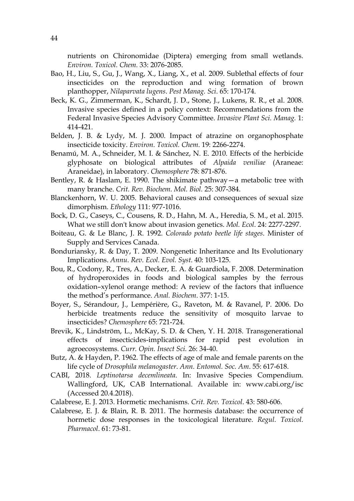nutrients on Chironomidae (Diptera) emerging from small wetlands. *Environ. Toxicol. Chem.* 33: 2076-2085.

- Bao, H., Liu, S., Gu, J., Wang, X., Liang, X., et al. 2009. Sublethal effects of four insecticides on the reproduction and wing formation of brown planthopper, *Nilaparvata lugens*. *Pest Manag. Sci*. 65: 170-174.
- Beck, K. G., Zimmerman, K., Schardt, J. D., Stone, J., Lukens, R. R., et al. 2008. Invasive species defined in a policy context: Recommendations from the Federal Invasive Species Advisory Committee. *Invasive Plant Sci. Manag.* 1: 414-421.
- Belden, J. B. & Lydy, M. J. 2000. Impact of atrazine on organophosphate insecticide toxicity. *Environ. Toxicol. Chem*. 19: 2266-2274.
- Benamú, M. A., Schneider, M. I. & Sánchez, N. E. 2010. Effects of the herbicide glyphosate on biological attributes of *Alpaida veniliae* (Araneae: Araneidae), in laboratory. *Chemosphere* 78: 871-876.
- Bentley, R. & Haslam, E. 1990. The shikimate pathway—a metabolic tree with many branche. *Crit. Rev. Biochem. Mol. Biol.* 25: 307-384.
- Blanckenhorn, W. U. 2005. Behavioral causes and consequences of sexual size dimorphism. *Ethology* 111: 977-1016.
- Bock, D. G., Caseys, C., Cousens, R. D., Hahn, M. A., Heredia, S. M., et al. 2015. What we still don't know about invasion genetics. *Mol. Ecol*. 24: 2277-2297.
- Boiteau, G. & Le Blanc, J. R. 1992. *Colorado potato beetle life stages*. Minister of Supply and Services Canada.
- Bonduriansky, R. & Day, T. 2009. Nongenetic Inheritance and Its Evolutionary Implications. *Annu. Rev. Ecol. Evol. Syst*. 40: 103-125.
- Bou, R., Codony, R., Tres, A., Decker, E. A. & Guardiola, F. 2008. Determination of hydroperoxides in foods and biological samples by the ferrous oxidation–xylenol orange method: A review of the factors that influence the method's performance. *Anal. Biochem*. 377: 1-15.
- Boyer, S., Sérandour, J., Lempérière, G., Raveton, M. & Ravanel, P. 2006. Do herbicide treatments reduce the sensitivity of mosquito larvae to insecticides? *Chemosphere* 65: 721-724.
- Brevik, K., Lindström, L., McKay, S. D. & Chen, Y. H. 2018. Transgenerational effects of insecticides-implications for rapid pest evolution in agroecosystems. *Curr. Opin. Insect Sci.* 26: 34-40.
- Butz, A. & Hayden, P. 1962. The effects of age of male and female parents on the life cycle of *Drosophila melanogaster*. *Ann. Entomol. Soc. Am*. 55: 617-618.
- CABI, 2018. *Leptinotarsa decemlineata*. In: Invasive Species Compendium. Wallingford, UK, CAB International. Available in: www.cabi.org/isc (Accessed 20.4.2018).
- Calabrese, E. J. 2013. Hormetic mechanisms. *Crit. Rev. Toxicol*. 43: 580-606.
- Calabrese, E. J. & Blain, R. B. 2011. The hormesis database: the occurrence of hormetic dose responses in the toxicological literature. *Regul. Toxicol. Pharmacol*. 61: 73-81.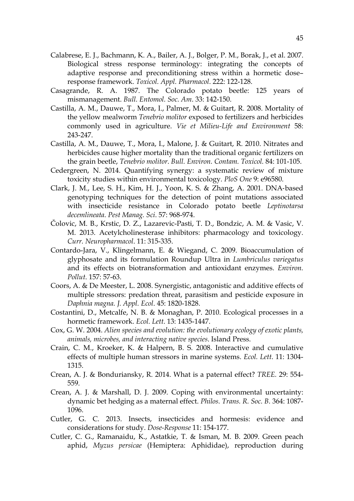- Calabrese, E. J., Bachmann, K. A., Bailer, A. J., Bolger, P. M., Borak, J., et al. 2007. Biological stress response terminology: integrating the concepts of adaptive response and preconditioning stress within a hormetic dose– response framework. *Toxicol. Appl. Pharmacol*. 222: 122-128.
- Casagrande, R. A. 1987. The Colorado potato beetle: 125 years of mismanagement. *Bull. Entomol. Soc. Am*. 33: 142-150.
- Castilla, A. M., Dauwe, T., Mora, I., Palmer, M. & Guitart, R. 2008. Mortality of the yellow mealworm *Tenebrio molitor* exposed to fertilizers and herbicides commonly used in agriculture. *Vie et Milieu-Life and Environment* 58: 243-247.
- Castilla, A. M., Dauwe, T., Mora, I., Malone, J. & Guitart, R. 2010. Nitrates and herbicides cause higher mortality than the traditional organic fertilizers on the grain beetle, *Tenebrio molitor*. *Bull. Environ. Contam. Toxicol.* 84: 101-105.
- Cedergreen, N. 2014. Quantifying synergy: a systematic review of mixture toxicity studies within environmental toxicology. *PloS One* 9: e96580.
- Clark, J. M., Lee, S. H., Kim, H. J., Yoon, K. S. & Zhang, A. 2001. DNA‐based genotyping techniques for the detection of point mutations associated with insecticide resistance in Colorado potato beetle *Leptinotarsa decemlineata*. *Pest Manag. Sci*. 57: 968-974.
- Čolovic, M. B., Krstic, D. Z., Lazarevic-Pasti, T. D., Bondzic, A. M. & Vasic, V. M. 2013. Acetylcholinesterase inhibitors: pharmacology and toxicology. *Curr. Neuropharmacol*. 11: 315-335.
- Contardo-Jara, V., Klingelmann, E. & Wiegand, C. 2009. Bioaccumulation of glyphosate and its formulation Roundup Ultra in *Lumbriculus variegatus* and its effects on biotransformation and antioxidant enzymes. *Environ. Pollut*. 157: 57-63.
- Coors, A. & De Meester, L. 2008. Synergistic, antagonistic and additive effects of multiple stressors: predation threat, parasitism and pesticide exposure in *Daphnia magna. J. Appl. Ecol*. 45: 1820-1828.
- Costantini, D., Metcalfe, N. B. & Monaghan, P. 2010. Ecological processes in a hormetic framework. *Ecol. Lett*. 13: 1435-1447.
- Cox, G. W. 2004. *Alien species and evolution: the evolutionary ecology of exotic plants, animals, microbes, and interacting native species*. Island Press.
- Crain, C. M., Kroeker, K. & Halpern, B. S. 2008. Interactive and cumulative effects of multiple human stressors in marine systems. *Ecol. Lett*. 11: 1304- 1315.
- Crean, A. J. & Bonduriansky, R. 2014. What is a paternal effect? *TREE.* 29: 554- 559.
- Crean, A. J. & Marshall, D. J. 2009. Coping with environmental uncertainty: dynamic bet hedging as a maternal effect. *Philos. Trans. R. Soc. B.* 364: 1087- 1096.
- Cutler, G. C. 2013. Insects, insecticides and hormesis: evidence and considerations for study. *Dose-Response* 11: 154-177.
- Cutler, C. G., Ramanaidu, K., Astatkie, T. & Isman, M. B. 2009. Green peach aphid, *Myzus persicae* (Hemiptera: Aphididae), reproduction during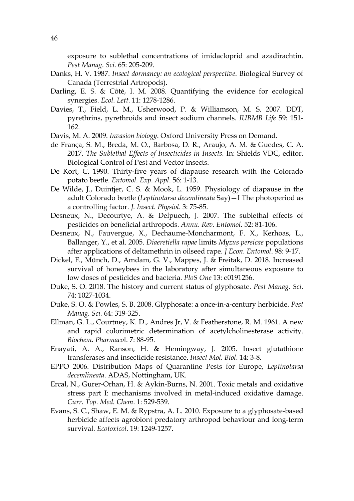exposure to sublethal concentrations of imidacloprid and azadirachtin. *Pest Manag. Sci.* 65: 205-209.

- Danks, H. V. 1987. *Insect dormancy: an ecological perspective*. Biological Survey of Canada (Terrestrial Artropods).
- Darling, E. S. & Côté, I. M. 2008. Quantifying the evidence for ecological synergies. *Ecol. Lett*. 11: 1278-1286.
- Davies, T., Field, L. M., Usherwood, P. & Williamson, M. S. 2007. DDT, pyrethrins, pyrethroids and insect sodium channels. *IUBMB Life* 59: 151- 162.
- Davis, M. A. 2009. *Invasion biology*. Oxford University Press on Demand.
- de França, S. M., Breda, M. O., Barbosa, D. R., Araujo, A. M. & Guedes, C. A. 2017. *The Sublethal Effects of Insecticides in Insects.* In: Shields VDC, editor. Biological Control of Pest and Vector Insects.
- De Kort, C. 1990. Thirty‐five years of diapause research with the Colorado potato beetle. *Entomol. Exp. Appl*. 56: 1-13.
- De Wilde, J., Duintjer, C. S. & Mook, L. 1959. Physiology of diapause in the adult Colorado beetle (*Leptinotarsa decemlineata* Say)—I The photoperiod as a controlling factor. *J. Insect. Physiol*. 3: 75-85.
- Desneux, N., Decourtye, A. & Delpuech, J. 2007. The sublethal effects of pesticides on beneficial arthropods. *Annu. Rev. Entomol*. 52: 81-106.
- Desneux, N., Fauvergue, X., Dechaume-Moncharmont, F. X., Kerhoas, L., Ballanger, Y., et al. 2005. *Diaeretiella rapae* limits *Myzus persicae* populations after applications of deltamethrin in oilseed rape. *J Econ. Entomol*. 98: 9-17.
- Dickel, F., Münch, D., Amdam, G. V., Mappes, J. & Freitak, D. 2018. Increased survival of honeybees in the laboratory after simultaneous exposure to low doses of pesticides and bacteria. *PloS One* 13: e0191256.
- Duke, S. O. 2018. The history and current status of glyphosate. *Pest Manag. Sci*. 74: 1027-1034.
- Duke, S. O. & Powles, S. B. 2008. Glyphosate: a once‐in‐a‐century herbicide. *Pest Manag. Sci.* 64: 319-325.
- Ellman, G. L., Courtney, K. D., Andres Jr, V. & Featherstone, R. M. 1961. A new and rapid colorimetric determination of acetylcholinesterase activity. *Biochem. Pharmaco*l. 7: 88-95.
- Enayati, A. A., Ranson, H. & Hemingway, J. 2005. Insect glutathione transferases and insecticide resistance. *Insect Mol. Biol*. 14: 3-8.
- EPPO 2006. Distribution Maps of Quarantine Pests for Europe, *Leptinotarsa decemlineata*. ADAS, Nottingham, UK.
- Ercal, N., Gurer-Orhan, H. & Aykin-Burns, N. 2001. Toxic metals and oxidative stress part I: mechanisms involved in metal-induced oxidative damage. *Curr. Top. Med. Chem*. 1: 529-539.
- Evans, S. C., Shaw, E. M. & Rypstra, A. L. 2010. Exposure to a glyphosate-based herbicide affects agrobiont predatory arthropod behaviour and long-term survival. *Ecotoxicol*. 19: 1249-1257.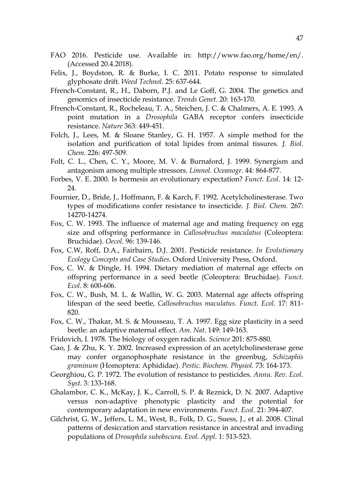- FAO 2016. Pesticide use. Available in: http://www.fao.org/home/en/. (Accessed 20.4.2018).
- Felix, J., Boydston, R. & Burke, I. C. 2011. Potato response to simulated glyphosate drift. *Weed Technol*. 25: 637-644.
- Ffrench-Constant, R., H., Daborn, P.J. and Le Goff, G. 2004. The genetics and genomics of insecticide resistance. *Trends Genet*. 20: 163-170.
- Ffrench-Constant, R., Rocheleau, T. A., Steichen, J. C. & Chalmers, A. E. 1993. A point mutation in a *Drosophila* GABA receptor confers insecticide resistance. *Nature* 363: 449-451.
- Folch, J., Lees, M. & Sloane Stanley, G. H. 1957. A simple method for the isolation and purification of total lipides from animal tissures. *J. Biol. Chem.* 226: 497-509.
- Folt, C. L., Chen, C. Y., Moore, M. V. & Burnaford, J. 1999. Synergism and antagonism among multiple stressors. *Limnol. Oceanogr*. 44: 864-877.
- Forbes, V. E. 2000. Is hormesis an evolutionary expectation? *Funct. Ecol*. 14: 12- 24.
- Fournier, D., Bride, J., Hoffmann, F. & Karch, F. 1992. Acetylcholinesterase. Two types of modifications confer resistance to insecticide. *J. Biol. Chem.* 267: 14270-14274.
- Fox, C. W. 1993. The influence of maternal age and mating frequency on egg size and offspring performance in *Callosobruchus maculatus* (Coleoptera: Bruchidae). *Oecol*. 96: 139-146.
- Fox, C.W, Roff, D.A., Fairbairn, D.J. 2001. Pesticide resistance. *In Evolutionary Ecology Concepts and Case Studies*. Oxford University Press, Oxford.
- Fox, C. W. & Dingle, H. 1994. Dietary mediation of maternal age effects on offspring performance in a seed beetle (Coleoptera: Bruchidae). *Funct. Ecol*. 8: 600-606.
- Fox, C. W., Bush, M. L. & Wallin, W. G. 2003. Maternal age affects offspring lifespan of the seed beetle, *Callosobruchus maculatus*. *Funct. Ecol*. 17: 811- 820.
- Fox, C. W., Thakar, M. S. & Mousseau, T. A. 1997. Egg size plasticity in a seed beetle: an adaptive maternal effect. *Am. Nat*. 149: 149-163.
- Fridovich, I. 1978. The biology of oxygen radicals. *Science* 201: 875-880.
- Gao, J. & Zhu, K. Y. 2002. Increased expression of an acetylcholinesterase gene may confer organophosphate resistance in the greenbug, *Schizaphis graminum* (Homoptera: Aphididae). *Pestic. Biochem. Physiol.* 73: 164-173.
- Georghiou, G. P. 1972. The evolution of resistance to pesticides. *Annu. Rev. Ecol. Syst*. 3: 133-168.
- Ghalambor, C. K., McKay, J. K., Carroll, S. P. & Reznick, D. N. 2007. Adaptive versus non-adaptive phenotypic plasticity and the potential for contemporary adaptation in new environments. *Funct. Ecol*. 21: 394-407.
- Gilchrist, G. W., Jeffers, L. M., West, B., Folk, D. G., Suess, J., et al. 2008. Clinal patterns of desiccation and starvation resistance in ancestral and invading populations of *Drosophila subobscura*. *Evol. Appl*. 1: 513-523.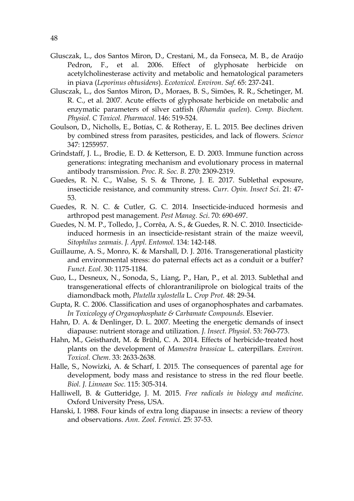- Glusczak, L., dos Santos Miron, D., Crestani, M., da Fonseca, M. B., de Araújo Pedron, F., et al. 2006. Effect of glyphosate herbicide on acetylcholinesterase activity and metabolic and hematological parameters in piava (*Leporinus obtusidens*). *Ecotoxicol. Environ. Saf*. 65: 237-241.
- Glusczak, L., dos Santos Miron, D., Moraes, B. S., Simões, R. R., Schetinger, M. R. C., et al. 2007. Acute effects of glyphosate herbicide on metabolic and enzymatic parameters of silver catfish (*Rhamdia quelen*). *Comp. Biochem. Physiol. C Toxicol. Pharmacol*. 146: 519-524.
- Goulson, D., Nicholls, E., Botías, C. & Rotheray, E. L. 2015. Bee declines driven by combined stress from parasites, pesticides, and lack of flowers. *Science* 347: 1255957.
- Grindstaff, J. L., Brodie, E. D. & Ketterson, E. D. 2003. Immune function across generations: integrating mechanism and evolutionary process in maternal antibody transmission. *Proc. R. Soc. B.* 270: 2309-2319.
- Guedes, R. N. C., Walse, S. S. & Throne, J. E. 2017. Sublethal exposure, insecticide resistance, and community stress. *Curr. Opin. Insect Sci*. 21: 47- 53.
- Guedes, R. N. C. & Cutler, G. C. 2014. Insecticide-induced hormesis and arthropod pest management. *Pest Manag. Sci*. 70: 690-697.
- Guedes, N. M. P., Tolledo, J., Corrêa, A. S., & Guedes, R. N. C. 2010. Insecticide‐ induced hormesis in an insecticide‐resistant strain of the maize weevil, *Sitophilus zeamais*. *J. Appl. Entomol.* 134: 142-148.
- Guillaume, A. S., Monro, K. & Marshall, D. J. 2016. Transgenerational plasticity and environmental stress: do paternal effects act as a conduit or a buffer? *Funct. Ecol*. 30: 1175-1184.
- Guo, L., Desneux, N., Sonoda, S., Liang, P., Han, P., et al. 2013. Sublethal and transgenerational effects of chlorantraniliprole on biological traits of the diamondback moth, *Plutella xylostella* L. *Crop Prot.* 48: 29-34.
- Gupta, R. C. 2006. Classification and uses of organophosphates and carbamates. *In Toxicology of Organophosphate & Carbamate Compounds*. Elsevier.
- Hahn, D. A. & Denlinger, D. L. 2007. Meeting the energetic demands of insect diapause: nutrient storage and utilization. *J. Insect. Physiol*. 53: 760-773.
- Hahn, M., Geisthardt, M. & Brühl, C. A. 2014. Effects of herbicide‐treated host plants on the development of *Mamestra brassicae* L. caterpillars. *Environ. Toxicol. Chem*. 33: 2633-2638.
- Halle, S., Nowizki, A. & Scharf, I. 2015. The consequences of parental age for development, body mass and resistance to stress in the red flour beetle. *Biol. J. Linnean Soc.* 115: 305-314.
- Halliwell, B. & Gutteridge, J. M. 2015. *Free radicals in biology and medicine*. Oxford University Press, USA.
- Hanski, I. 1988. Four kinds of extra long diapause in insects: a review of theory and observations. *Ann. Zool. Fennici.* 25: 37-53.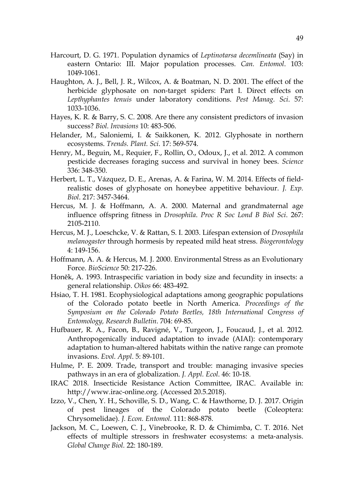- Harcourt, D. G. 1971. Population dynamics of *Leptinotarsa decemlineata* (Say) in eastern Ontario: III. Major population processes. *Can. Entomol*. 103: 1049-1061.
- Haughton, A. J., Bell, J. R., Wilcox, A. & Boatman, N. D. 2001. The effect of the herbicide glyphosate on non-target spiders: Part I. Direct effects on *Lepthyphantes tenuis* under laboratory conditions. *Pest Manag. Sci*. 57: 1033-1036.
- Hayes, K. R. & Barry, S. C. 2008. Are there any consistent predictors of invasion success? *Biol. Invasions* 10: 483-506.
- Helander, M., Saloniemi, I. & Saikkonen, K. 2012. Glyphosate in northern ecosystems. *Trends. Plant. Sci*. 17: 569-574.
- Henry, M., Beguin, M., Requier, F., Rollin, O., Odoux, J., et al. 2012. A common pesticide decreases foraging success and survival in honey bees. *Science* 336: 348-350.
- Herbert, L. T., Vázquez, D. E., Arenas, A. & Farina, W. M. 2014. Effects of fieldrealistic doses of glyphosate on honeybee appetitive behaviour. *J. Exp. Biol*. 217: 3457-3464.
- Hercus, M. J. & Hoffmann, A. A. 2000. Maternal and grandmaternal age influence offspring fitness in *Drosophila*. *Proc R Soc Lond B Biol Sci*. 267: 2105-2110.
- Hercus, M. J., Loeschcke, V. & Rattan, S. I. 2003. Lifespan extension of *Drosophila melanogaster* through hormesis by repeated mild heat stress. *Biogerontology* 4: 149-156.
- Hoffmann, A. A. & Hercus, M. J. 2000. Environmental Stress as an Evolutionary Force. *BioScience* 50: 217-226.
- Honěk, A. 1993. Intraspecific variation in body size and fecundity in insects: a general relationship. *Oikos* 66: 483-492.
- Hsiao, T. H. 1981. Ecophysiological adaptations among geographic populations of the Colorado potato beetle in North America. *Proceedings of the Symposium on the Colorado Potato Beetles, 18th International Congress of Entomology, Research Bulletin*. 704: 69-85.
- Hufbauer, R. A., Facon, B., Ravigné, V., Turgeon, J., Foucaud, J., et al. 2012. Anthropogenically induced adaptation to invade (AIAI): contemporary adaptation to human-altered habitats within the native range can promote invasions. *Evol. Appl*. 5: 89-101.
- Hulme, P. E. 2009. Trade, transport and trouble: managing invasive species pathways in an era of globalization. *J. Appl. Ecol*. 46: 10-18.
- IRAC 2018. Insecticide Resistance Action Committee, IRAC. Available in: http://www.irac-online.org. (Accessed 20.5.2018).
- Izzo, V., Chen, Y. H., Schoville, S. D., Wang, C. & Hawthorne, D. J. 2017. Origin of pest lineages of the Colorado potato beetle (Coleoptera: Chrysomelidae). *J. Econ. Entomol.* 111: 868-878.
- Jackson, M. C., Loewen, C. J., Vinebrooke, R. D. & Chimimba, C. T. 2016. Net effects of multiple stressors in freshwater ecosystems: a meta‐analysis. *Global Change Biol.* 22: 180-189.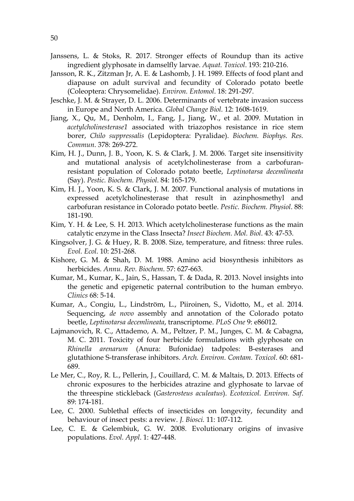- Janssens, L. & Stoks, R. 2017. Stronger effects of Roundup than its active ingredient glyphosate in damselfly larvae. *Aquat. Toxicol*. 193: 210-216.
- Jansson, R. K., Zitzman Jr, A. E. & Lashomb, J. H. 1989. Effects of food plant and diapause on adult survival and fecundity of Colorado potato beetle (Coleoptera: Chrysomelidae). *Environ. Entomol*. 18: 291-297.
- Jeschke, J. M. & Strayer, D. L. 2006. Determinants of vertebrate invasion success in Europe and North America. *Global Change Biol.* 12: 1608-1619.
- Jiang, X., Qu, M., Denholm, I., Fang, J., Jiang, W., et al. 2009. Mutation in *acetylcholinesterase1* associated with triazophos resistance in rice stem borer, *Chilo suppressalis* (Lepidoptera: Pyralidae). *Biochem. Biophys. Res. Commun*. 378: 269-272.
- Kim, H. J., Dunn, J. B., Yoon, K. S. & Clark, J. M. 2006. Target site insensitivity and mutational analysis of acetylcholinesterase from a carbofuranresistant population of Colorado potato beetle, *Leptinotarsa decemlineata* (Say). *Pestic. Biochem. Physiol*. 84: 165-179.
- Kim, H. J., Yoon, K. S. & Clark, J. M. 2007. Functional analysis of mutations in expressed acetylcholinesterase that result in azinphosmethyl and carbofuran resistance in Colorado potato beetle. *Pestic. Biochem. Physiol*. 88: 181-190.
- Kim, Y. H. & Lee, S. H. 2013. Which acetylcholinesterase functions as the main catalytic enzyme in the Class Insecta? *Insect Biochem. Mol. Biol*. 43: 47-53.
- Kingsolver, J. G. & Huey, R. B. 2008. Size, temperature, and fitness: three rules. *Evol. Ecol*. 10: 251-268.
- Kishore, G. M. & Shah, D. M. 1988. Amino acid biosynthesis inhibitors as herbicides. *Annu. Rev. Biochem*. 57: 627-663.
- Kumar, M., Kumar, K., Jain, S., Hassan, T. & Dada, R. 2013. Novel insights into the genetic and epigenetic paternal contribution to the human embryo. *Clinics* 68: 5-14.
- Kumar, A., Congiu, L., Lindström, L., Piiroinen, S., Vidotto, M., et al. 2014. Sequencing, *de novo* assembly and annotation of the Colorado potato beetle, *Leptinotarsa decemlineata*, transcriptome. *PLoS One* 9: e86012.
- Lajmanovich, R. C., Attademo, A. M., Peltzer, P. M., Junges, C. M. & Cabagna, M. C. 2011. Toxicity of four herbicide formulations with glyphosate on *Rhinella arenarum* (Anura: Bufonidae) tadpoles: B-esterases and glutathione S-transferase inhibitors. *Arch. Environ. Contam. Toxicol*. 60: 681- 689.
- Le Mer, C., Roy, R. L., Pellerin, J., Couillard, C. M. & Maltais, D. 2013. Effects of chronic exposures to the herbicides atrazine and glyphosate to larvae of the threespine stickleback (*Gasterosteus aculeatus*). *Ecotoxicol. Environ. Saf*. 89: 174-181.
- Lee, C. 2000. Sublethal effects of insecticides on longevity, fecundity and behaviour of insect pests: a review. *J. Biosci.* 11: 107-112.
- Lee, C. E. & Gelembiuk, G. W. 2008. Evolutionary origins of invasive populations. *Evol. Appl*. 1: 427-448.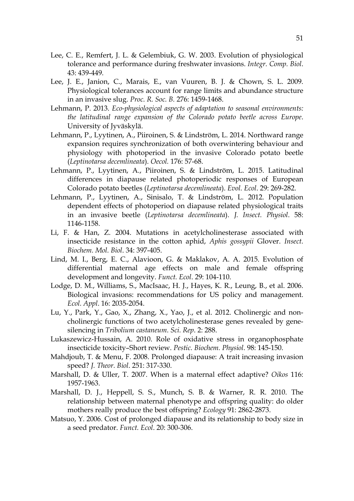- Lee, C. E., Remfert, J. L. & Gelembiuk, G. W. 2003. Evolution of physiological tolerance and performance during freshwater invasions. *Integr. Comp. Biol*. 43: 439-449.
- Lee, J. E., Janion, C., Marais, E., van Vuuren, B. J. & Chown, S. L. 2009. Physiological tolerances account for range limits and abundance structure in an invasive slug. *Proc. R. Soc. B.* 276: 1459-1468.
- Lehmann, P. 2013. *Eco-physiological aspects of adaptation to seasonal environments: the latitudinal range expansion of the Colorado potato beetle across Europe*. University of Jyväskylä.
- Lehmann, P., Lyytinen, A., Piiroinen, S. & Lindström, L. 2014. Northward range expansion requires synchronization of both overwintering behaviour and physiology with photoperiod in the invasive Colorado potato beetle (*Leptinotarsa decemlineata*). *Oecol.* 176: 57-68.
- Lehmann, P., Lyytinen, A., Piiroinen, S. & Lindström, L. 2015. Latitudinal differences in diapause related photoperiodic responses of European Colorado potato beetles (*Leptinotarsa decemlineata*). *Evol. Ecol*. 29: 269-282.
- Lehmann, P., Lyytinen, A., Sinisalo, T. & Lindström, L. 2012. Population dependent effects of photoperiod on diapause related physiological traits in an invasive beetle (*Leptinotarsa decemlineata*). *J. Insect. Physiol*. 58: 1146-1158.
- Li, F. & Han, Z. 2004. Mutations in acetylcholinesterase associated with insecticide resistance in the cotton aphid, *Aphis gossypii* Glover. *Insect. Biochem. Mol. Biol*. 34: 397-405.
- Lind, M. I., Berg, E. C., Alavioon, G. & Maklakov, A. A. 2015. Evolution of differential maternal age effects on male and female offspring development and longevity. *Funct. Ecol*. 29: 104-110.
- Lodge, D. M., Williams, S., MacIsaac, H. J., Hayes, K. R., Leung, B., et al. 2006. Biological invasions: recommendations for US policy and management. *Ecol. Appl*. 16: 2035-2054.
- Lu, Y., Park, Y., Gao, X., Zhang, X., Yao, J., et al. 2012. Cholinergic and noncholinergic functions of two acetylcholinesterase genes revealed by genesilencing in *Tribolium castaneum*. *Sci. Rep*. 2: 288.
- Lukaszewicz-Hussain, A. 2010. Role of oxidative stress in organophosphate insecticide toxicity–Short review. *Pestic. Biochem. Physiol*. 98: 145-150.
- Mahdjoub, T. & Menu, F. 2008. Prolonged diapause: A trait increasing invasion speed? *J. Theor. Biol*. 251: 317-330.
- Marshall, D. & Uller, T. 2007. When is a maternal effect adaptive? *Oikos* 116: 1957-1963.
- Marshall, D. J., Heppell, S. S., Munch, S. B. & Warner, R. R. 2010. The relationship between maternal phenotype and offspring quality: do older mothers really produce the best offspring? *Ecology* 91: 2862-2873.
- Matsuo, Y. 2006. Cost of prolonged diapause and its relationship to body size in a seed predator. *Funct. Ecol*. 20: 300-306.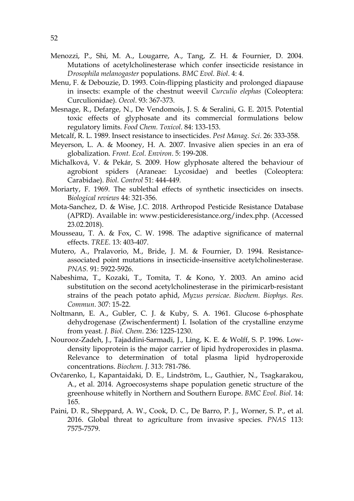- Menozzi, P., Shi, M. A., Lougarre, A., Tang, Z. H. & Fournier, D. 2004. Mutations of acetylcholinesterase which confer insecticide resistance in *Drosophila melanogaster* populations. *BMC Evol. Biol*. 4: 4.
- Menu, F. & Debouzie, D. 1993. Coin-flipping plasticity and prolonged diapause in insects: example of the chestnut weevil *Curculio elephas* (Coleoptera: Curculionidae). *Oecol*. 93: 367-373.
- Mesnage, R., Defarge, N., De Vendomois, J. S. & Seralini, G. E. 2015. Potential toxic effects of glyphosate and its commercial formulations below regulatory limits. *Food Chem. Toxicol*. 84: 133-153.
- Metcalf, R. L. 1989. Insect resistance to insecticides. *Pest Manag. Sci*. 26: 333-358.
- Meyerson, L. A. & Mooney, H. A. 2007. Invasive alien species in an era of globalization. *Front. Ecol. Environ*. 5: 199-208.
- Michalková, V. & Pekár, S. 2009. How glyphosate altered the behaviour of agrobiont spiders (Araneae: Lycosidae) and beetles (Coleoptera: Carabidae). *Biol. Control* 51: 444-449.
- Moriarty, F. 1969. The sublethal effects of synthetic insecticides on insects. B*iological reviews* 44: 321-356.
- Mota-Sanchez, D. & Wise, J.C. 2018. Arthropod Pesticide Resistance Database (APRD). Available in: www.pesticideresistance.org/index.php. (Accessed 23.02.2018).
- Mousseau, T. A. & Fox, C. W. 1998. The adaptive significance of maternal effects. *TREE.* 13: 403-407.
- Mutero, A., Pralavorio, M., Bride, J. M. & Fournier, D. 1994. Resistanceassociated point mutations in insecticide-insensitive acetylcholinesterase. *PNAS.* 91: 5922-5926.
- Nabeshima, T., Kozaki, T., Tomita, T. & Kono, Y. 2003. An amino acid substitution on the second acetylcholinesterase in the pirimicarb-resistant strains of the peach potato aphid, *Myzus persicae*. *Biochem. Biophys. Res. Commun*. 307: 15-22.
- Noltmann, E. A., Gubler, C. J. & Kuby, S. A. 1961. Glucose 6-phosphate dehydrogenase (Zwischenferment) I. Isolation of the crystalline enzyme from yeast. *J. Biol. Chem*. 236: 1225-1230.
- Nourooz-Zadeh, J., Tajaddini-Sarmadi, J., Ling, K. E. & Wolff, S. P. 1996. Lowdensity lipoprotein is the major carrier of lipid hydroperoxides in plasma. Relevance to determination of total plasma lipid hydroperoxide concentrations. *Biochem. J*. 313: 781-786.
- Ovčarenko, I., Kapantaidaki, D. E., Lindström, L., Gauthier, N., Tsagkarakou, A., et al. 2014. Agroecosystems shape population genetic structure of the greenhouse whitefly in Northern and Southern Europe. *BMC Evol. Biol*. 14: 165.
- Paini, D. R., Sheppard, A. W., Cook, D. C., De Barro, P. J., Worner, S. P., et al. 2016. Global threat to agriculture from invasive species. *PNAS* 113: 7575-7579.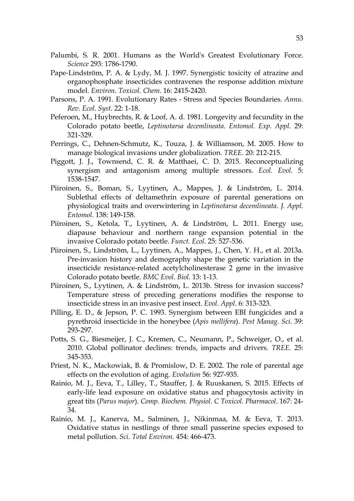- Palumbi, S. R. 2001. Humans as the World's Greatest Evolutionary Force. *Science* 293: 1786-1790.
- Pape‐Lindström, P. A. & Lydy, M. J. 1997. Synergistic toxicity of atrazine and organophosphate insecticides contravenes the response addition mixture model. *Environ. Toxicol. Chem*. 16: 2415-2420.
- Parsons, P. A. 1991. Evolutionary Rates Stress and Species Boundaries. *Annu. Rev. Ecol. Syst*. 22: 1-18.
- Peferoen, M., Huybrechts, R. & Loof, A. d. 1981. Longevity and fecundity in the Colorado potato beetle, *Leptinotarsa decemlineata*. *Entomol. Exp. Appl*. 29: 321-329.
- Perrings, C., Dehnen-Schmutz, K., Touza, J. & Williamson, M. 2005. How to manage biological invasions under globalization. *TREE.* 20: 212-215.
- Piggott, J. J., Townsend, C. R. & Matthaei, C. D. 2015. Reconceptualizing synergism and antagonism among multiple stressors. *Ecol. Evol*. 5: 1538-1547.
- Piiroinen, S., Boman, S., Lyytinen, A., Mappes, J. & Lindström, L. 2014. Sublethal effects of deltamethrin exposure of parental generations on physiological traits and overwintering in *Leptinotarsa decemlineata*. *J. Appl. Entomol*. 138: 149-158.
- Piiroinen, S., Ketola, T., Lyytinen, A. & Lindström, L. 2011. Energy use, diapause behaviour and northern range expansion potential in the invasive Colorado potato beetle. *Funct. Ecol*. 25: 527-536.
- Piiroinen, S., Lindström, L., Lyytinen, A., Mappes, J., Chen, Y. H., et al. 2013a. Pre-invasion history and demography shape the genetic variation in the insecticide resistance-related acetylcholinesterase 2 gene in the invasive Colorado potato beetle. *BMC Evol. Biol*. 13: 1-13.
- Piiroinen, S., Lyytinen, A. & Lindström, L. 2013b. Stress for invasion success? Temperature stress of preceding generations modifies the response to insecticide stress in an invasive pest insect. *Evol. Appl*. 6: 313-323.
- Pilling, E. D., & Jepson, P. C. 1993. Synergism between EBI fungicides and a pyrethroid insecticide in the honeybee (*Apis mellifera*). *Pest Manag. Sci*. 39: 293-297.
- Potts, S. G., Biesmeijer, J. C., Kremen, C., Neumann, P., Schweiger, O., et al. 2010. Global pollinator declines: trends, impacts and drivers. *TREE.* 25: 345-353.
- Priest, N. K., Mackowiak, B. & Promislow, D. E. 2002. The role of parental age effects on the evolution of aging. *Evolution* 56: 927-935.
- Rainio, M. J., Eeva, T., Lilley, T., Stauffer, J. & Ruuskanen, S. 2015. Effects of early-life lead exposure on oxidative status and phagocytosis activity in great tits (*Parus major*). *Comp. Biochem. Physiol. C Toxicol. Pharmacol*. 167: 24- 34.
- Rainio, M. J., Kanerva, M., Salminen, J., Nikinmaa, M. & Eeva, T. 2013. Oxidative status in nestlings of three small passerine species exposed to metal pollution. *Sci. Total Environ.* 454: 466-473.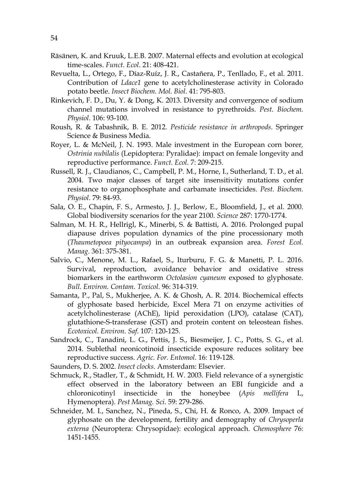- Räsänen, K. and Kruuk, L.E.B. 2007. Maternal effects and evolution at ecological time‐scales. *Funct. Ecol*. 21: 408-421.
- Revuelta, L., Ortego, F., Díaz-Ruíz, J. R., Castañera, P., Tenllado, F., et al. 2011. Contribution of *Ldace1* gene to acetylcholinesterase activity in Colorado potato beetle. *Insect Biochem. Mol. Biol*. 41: 795-803.
- Rinkevich, F. D., Du, Y. & Dong, K. 2013. Diversity and convergence of sodium channel mutations involved in resistance to pyrethroids. *Pest. Biochem. Physiol*. 106: 93-100.
- Roush, R. & Tabashnik, B. E. 2012. *Pesticide resistance in arthropods*. Springer Science & Business Media.
- Royer, L. & McNeil, J. N. 1993. Male investment in the European corn borer*, Ostrinia nubilalis* (Lepidoptera: Pyralidae): impact on female longevity and reproductive performance. *Funct. Ecol*. 7: 209-215.
- Russell, R. J., Claudianos, C., Campbell, P. M., Horne, I., Sutherland, T. D., et al. 2004. Two major classes of target site insensitivity mutations confer resistance to organophosphate and carbamate insecticides. *Pest. Biochem. Physiol*. 79: 84-93.
- Sala, O. E., Chapin, F. S., Armesto, J. J., Berlow, E., Bloomfield, J., et al. 2000. Global biodiversity scenarios for the year 2100. *Science* 287: 1770-1774.
- Salman, M. H. R., Hellrigl, K., Minerbi, S. & Battisti, A. 2016. Prolonged pupal diapause drives population dynamics of the pine processionary moth (*Thaumetopoea pityocampa*) in an outbreak expansion area. *Forest Ecol. Manag*. 361: 375-381.
- Salvio, C., Menone, M. L., Rafael, S., Iturburu, F. G. & Manetti, P. L. 2016. Survival, reproduction, avoidance behavior and oxidative stress biomarkers in the earthworm *Octolasion cyaneum* exposed to glyphosate. *Bull. Environ. Contam. Toxicol.* 96: 314-319.
- Samanta, P., Pal, S., Mukherjee, A. K. & Ghosh, A. R. 2014. Biochemical effects of glyphosate based herbicide, Excel Mera 71 on enzyme activities of acetylcholinesterase (AChE), lipid peroxidation (LPO), catalase (CAT), glutathione-S-transferase (GST) and protein content on teleostean fishes. *Ecotoxicol. Environ. Saf*. 107: 120-125.
- Sandrock, C., Tanadini, L. G., Pettis, J. S., Biesmeijer, J. C., Potts, S. G., et al. 2014. Sublethal neonicotinoid insecticide exposure reduces solitary bee reproductive success. *Agric. For. Entomol*. 16: 119-128.

Saunders, D. S. 2002. *Insect clocks*. Amsterdam: Elsevier.

- Schmuck, R., Stadler, T., & Schmidt, H. W. 2003. Field relevance of a synergistic effect observed in the laboratory between an EBI fungicide and a chloronicotinyl insecticide in the honeybee (*Apis mellifera* L, Hymenoptera). *Pest Manag. Sci*. 59: 279-286.
- Schneider, M. I., Sanchez, N., Pineda, S., Chi, H. & Ronco, A. 2009. Impact of glyphosate on the development, fertility and demography of *Chrysoperla externa* (Neuroptera: Chrysopidae): ecological approach. *Chemosphere* 76: 1451-1455.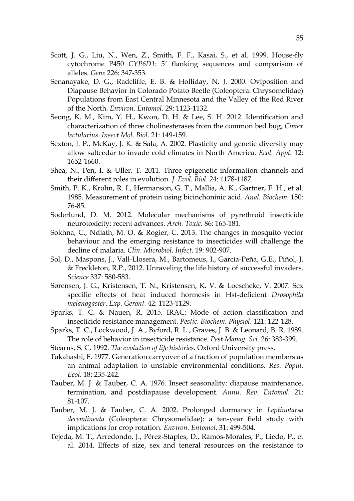- Scott, J. G., Liu, N., Wen, Z., Smith, F. F., Kasai, S., et al. 1999. House-fly cytochrome P450 *CYP6D1*: 5´ flanking sequences and comparison of alleles. *Gene* 226: 347-353.
- Senanayake, D. G., Radcliffe, E. B. & Holliday, N. J. 2000. Oviposition and Diapause Behavior in Colorado Potato Beetle (Coleoptera: Chrysomelidae) Populations from East Central Minnesota and the Valley of the Red River of the North. *Environ. Entomol*. 29: 1123-1132.
- Seong, K. M., Kim, Y. H., Kwon, D. H. & Lee, S. H. 2012. Identification and characterization of three cholinesterases from the common bed bug, *Cimex lectularius*. *Insect Mol. Biol*. 21: 149-159.
- Sexton, J. P., McKay, J. K. & Sala, A. 2002. Plasticity and genetic diversity may allow saltcedar to invade cold climates in North America. *Ecol. Appl*. 12: 1652-1660.
- Shea, N., Pen, I. & Uller, T. 2011. Three epigenetic information channels and their different roles in evolution. *J. Evol. Biol*. 24: 1178-1187.
- Smith, P. K., Krohn, R. I., Hermanson, G. T., Mallia, A. K., Gartner, F. H., et al. 1985. Measurement of protein using bicinchoninic acid. *Anal. Biochem*. 150: 76-85.
- Soderlund, D. M. 2012. Molecular mechanisms of pyrethroid insecticide neurotoxicity: recent advances. *Arch. Toxic.* 86: 165-181.
- Sokhna, C., Ndiath, M. O. & Rogier, C. 2013. The changes in mosquito vector behaviour and the emerging resistance to insecticides will challenge the decline of malaria. *Clin. Microbiol. Infect*. 19: 902-907.
- Sol, D., Maspons, J., Vall-Llosera, M., Bartomeus, I., García-Peña, G.E., Piñol, J. & Freckleton, R.P., 2012. Unraveling the life history of successful invaders. *Science* 337: 580-583.
- Sørensen, J. G., Kristensen, T. N., Kristensen, K. V. & Loeschcke, V. 2007. Sex specific effects of heat induced hormesis in Hsf-deficient *Drosophila melanogaster*. *Exp. Geront.* 42: 1123-1129.
- Sparks, T. C. & Nauen, R. 2015. IRAC: Mode of action classification and insecticide resistance management. *Pestic. Biochem. Physiol*. 121: 122-128.
- Sparks, T. C., Lockwood, J. A., Byford, R. L., Graves, J. B. & Leonard, B. R. 1989. The role of behavior in insecticide resistance. *Pest Manag. Sci*. 26: 383-399.
- Stearns, S. C. 1992. *The evolution of life histories*. Oxford University press.
- Takahashi, F. 1977. Generation carryover of a fraction of population members as an animal adaptation to unstable environmental conditions. *Res. Popul. Ecol*. 18: 235-242.
- Tauber, M. J. & Tauber, C. A. 1976. Insect seasonality: diapause maintenance, termination, and postdiapause development. *Annu. Rev. Entomol*. 21: 81-107.
- Tauber, M. J. & Tauber, C. A. 2002. Prolonged dormancy in *Leptinotarsa decemlineata* (Coleoptera: Chrysomelidae): a ten-year field study with implications for crop rotation. *Environ. Entomol*. 31: 499-504.
- Tejeda, M. T., Arredondo, J., Pérez-Staples, D., Ramos-Morales, P., Liedo, P., et al. 2014. Effects of size, sex and teneral resources on the resistance to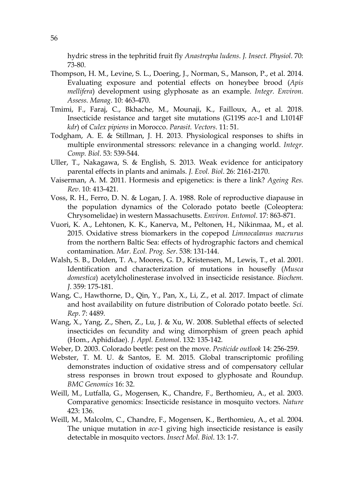hydric stress in the tephritid fruit fly *Anastrepha ludens*. *J. Insect. Physiol*. 70: 73-80.

- Thompson, H. M., Levine, S. L., Doering, J., Norman, S., Manson, P., et al. 2014. Evaluating exposure and potential effects on honeybee brood (*Apis mellifera*) development using glyphosate as an example. *Integr. Environ. Assess. Manag*. 10: 463-470.
- Tmimi, F., Faraj, C., Bkhache, M., Mounaji, K., Failloux, A., et al. 2018. Insecticide resistance and target site mutations (G119S *ace*-1 and L1014F *kdr*) of *Culex pipiens* in Morocco. *Parasit. Vectors*. 11: 51.
- Todgham, A. E. & Stillman, J. H. 2013. Physiological responses to shifts in multiple environmental stressors: relevance in a changing world. *Integr. Comp. Biol*. 53: 539-544.
- Uller, T., Nakagawa, S. & English, S. 2013. Weak evidence for anticipatory parental effects in plants and animals. *J. Evol. Biol*. 26: 2161-2170.
- Vaiserman, A. M. 2011. Hormesis and epigenetics: is there a link? *Ageing Res. Rev*. 10: 413-421.
- Voss, R. H., Ferro, D. N. & Logan, J. A. 1988. Role of reproductive diapause in the population dynamics of the Colorado potato beetle (Coleoptera: Chrysomelidae) in western Massachusetts. *Environ. Entomol*. 17: 863-871.
- Vuori, K. A., Lehtonen, K. K., Kanerva, M., Peltonen, H., Nikinmaa, M., et al. 2015. Oxidative stress biomarkers in the copepod *Limnocalanus macrurus* from the northern Baltic Sea: effects of hydrographic factors and chemical contamination. *Mar. Ecol. Prog. Ser*. 538: 131-144.
- Walsh, S. B., Dolden, T. A., Moores, G. D., Kristensen, M., Lewis, T., et al. 2001. Identification and characterization of mutations in housefly (*Musca domestica*) acetylcholinesterase involved in insecticide resistance. *Biochem. J*. 359: 175-181.
- Wang, C., Hawthorne, D., Qin, Y., Pan, X., Li, Z., et al. 2017. Impact of climate and host availability on future distribution of Colorado potato beetle. *Sci. Rep*. 7: 4489.
- Wang, X., Yang, Z., Shen, Z., Lu, J. & Xu, W. 2008. Sublethal effects of selected insecticides on fecundity and wing dimorphism of green peach aphid (Hom., Aphididae). *J. Appl. Entomol*. 132: 135-142.
- Weber, D. 2003. Colorado beetle: pest on the move. *Pesticide outlook* 14: 256-259.
- Webster, T. M. U. & Santos, E. M. 2015. Global transcriptomic profiling demonstrates induction of oxidative stress and of compensatory cellular stress responses in brown trout exposed to glyphosate and Roundup. *BMC Genomics* 16: 32.
- Weill, M., Lutfalla, G., Mogensen, K., Chandre, F., Berthomieu, A., et al. 2003. Comparative genomics: Insecticide resistance in mosquito vectors. *Nature* 423: 136.
- Weill, M., Malcolm, C., Chandre, F., Mogensen, K., Berthomieu, A., et al. 2004. The unique mutation in *ace*-1 giving high insecticide resistance is easily detectable in mosquito vectors. *Insect Mol. Biol*. 13: 1-7.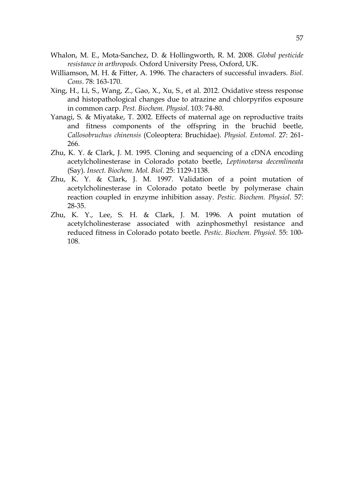- Whalon, M. E., Mota-Sanchez, D. & Hollingworth, R. M. 2008. *Global pesticide resistance in arthropods.* Oxford University Press, Oxford, UK.
- Williamson, M. H. & Fitter, A. 1996. The characters of successful invaders. *Biol. Cons*. 78: 163-170.
- Xing, H., Li, S., Wang, Z., Gao, X., Xu, S., et al. 2012. Oxidative stress response and histopathological changes due to atrazine and chlorpyrifos exposure in common carp. *Pest. Biochem. Physiol*. 103: 74-80.
- Yanagi, S. & Miyatake, T. 2002. Effects of maternal age on reproductive traits and fitness components of the offspring in the bruchid beetle, *Callosobruchus chinensis* (Coleoptera: Bruchidae). *Physiol. Entomol*. 27: 261- 266.
- Zhu, K. Y. & Clark, J. M. 1995. Cloning and sequencing of a cDNA encoding acetylcholinesterase in Colorado potato beetle, *Leptinotarsa decemlineata* (Say). *Insect. Biochem. Mol. Biol*. 25: 1129-1138.
- Zhu, K. Y. & Clark, J. M. 1997. Validation of a point mutation of acetylcholinesterase in Colorado potato beetle by polymerase chain reaction coupled in enzyme inhibition assay. *Pestic. Biochem. Physiol.* 57: 28-35.
- Zhu, K. Y., Lee, S. H. & Clark, J. M. 1996. A point mutation of acetylcholinesterase associated with azinphosmethyl resistance and reduced fitness in Colorado potato beetle. *Pestic. Biochem. Physiol.* 55: 100- 108.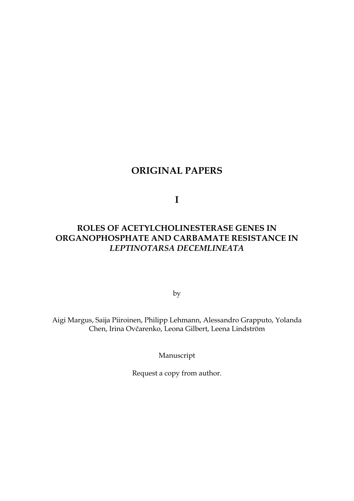# **ORIGINAL PAPERS**

**I** 

# **ROLES OF ACETYLCHOLINESTERASE GENES IN ORGANOPHOSPHATE AND CARBAMATE RESISTANCE IN**  *LEPTINOTARSA DECEMLINEATA*

by

Aigi Margus, Saija Piiroinen, Philipp Lehmann, Alessandro Grapputo, Yolanda Chen, Irina Ovčarenko, Leona Gilbert, Leena Lindström

Manuscript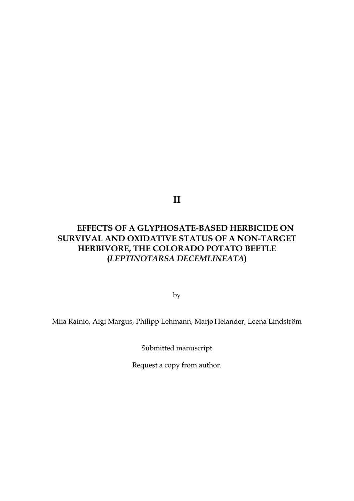**II** 

# **EFFECTS OF A GLYPHOSATE-BASED HERBICIDE ON SURVIVAL AND OXIDATIVE STATUS OF A NON-TARGET HERBIVORE, THE COLORADO POTATO BEETLE (***LEPTINOTARSA DECEMLINEATA***)**

by

Miia Rainio, Aigi Margus, Philipp Lehmann, Marjo Helander, Leena Lindström

Submitted manuscript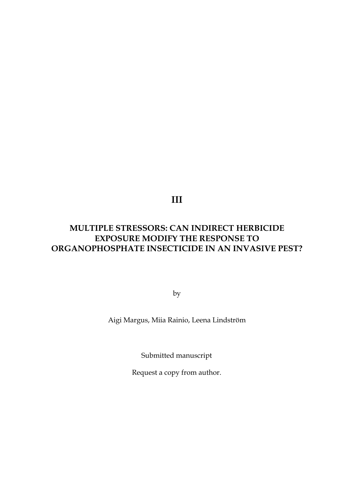**III** 

# **MULTIPLE STRESSORS: CAN INDIRECT HERBICIDE EXPOSURE MODIFY THE RESPONSE TO ORGANOPHOSPHATE INSECTICIDE IN AN INVASIVE PEST?**

by

Aigi Margus, Miia Rainio, Leena Lindström

Submitted manuscript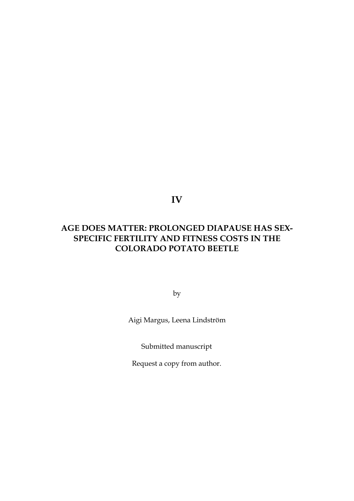**IV** 

# **AGE DOES MATTER: PROLONGED DIAPAUSE HAS SEX-SPECIFIC FERTILITY AND FITNESS COSTS IN THE COLORADO POTATO BEETLE**

by

Aigi Margus, Leena Lindström

Submitted manuscript